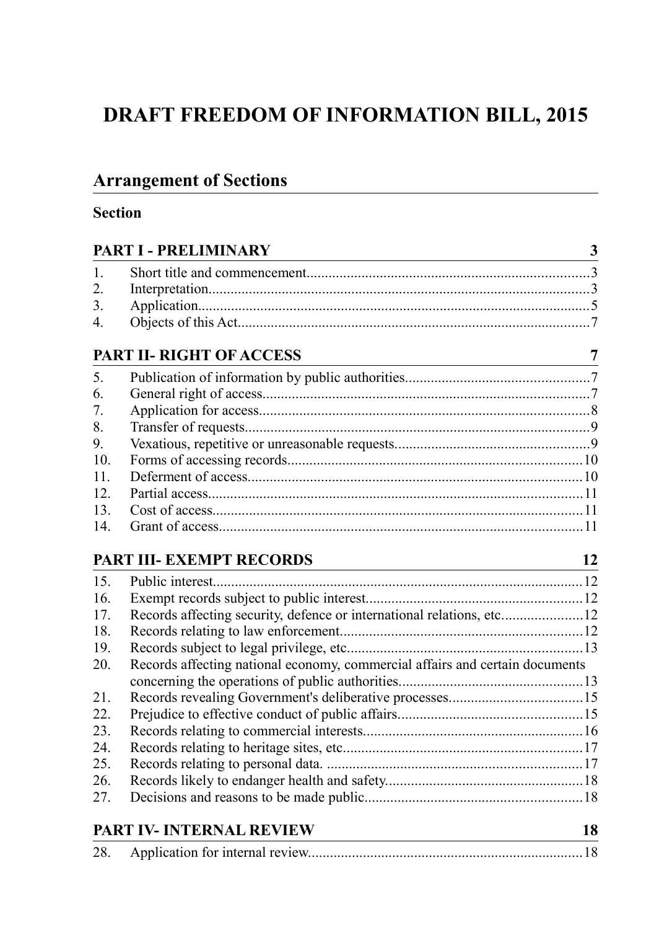# **DRAFT FREEDOM OF INFORMATION BILL, 2015**

# **Arrangement of Sections**

# **Section**

|                  | <b>PART I - PRELIMINARY</b>                                                  |    |  |  |
|------------------|------------------------------------------------------------------------------|----|--|--|
| $\mathbf{1}$     |                                                                              |    |  |  |
| $\overline{2}$ . |                                                                              |    |  |  |
| 3.               |                                                                              |    |  |  |
| $\overline{4}$ . |                                                                              |    |  |  |
|                  | PART II-RIGHT OF ACCESS                                                      | 7  |  |  |
| 5.               |                                                                              |    |  |  |
| 6.               |                                                                              |    |  |  |
| 7.               |                                                                              |    |  |  |
| 8.               |                                                                              |    |  |  |
| 9.               |                                                                              |    |  |  |
| 10.              |                                                                              |    |  |  |
| 11.              |                                                                              |    |  |  |
| 12.              |                                                                              |    |  |  |
| 13.              |                                                                              |    |  |  |
| 14.              |                                                                              |    |  |  |
|                  | PART III- EXEMPT RECORDS                                                     | 12 |  |  |
| 15.              |                                                                              |    |  |  |
| 16.              |                                                                              |    |  |  |
| 17.              | Records affecting security, defence or international relations, etc12        |    |  |  |
| 18.              |                                                                              |    |  |  |
| 19.              |                                                                              |    |  |  |
| 20.              | Records affecting national economy, commercial affairs and certain documents |    |  |  |
|                  |                                                                              |    |  |  |
| 21.              |                                                                              |    |  |  |
| 22.              |                                                                              |    |  |  |
| 23.              |                                                                              |    |  |  |
| 24.              |                                                                              |    |  |  |
| 25.              |                                                                              |    |  |  |
| 26.              |                                                                              |    |  |  |
| 27.              |                                                                              |    |  |  |
|                  | <b>PART IV- INTERNAL REVIEW</b>                                              | 18 |  |  |

| 28. |  |  |  |
|-----|--|--|--|
|-----|--|--|--|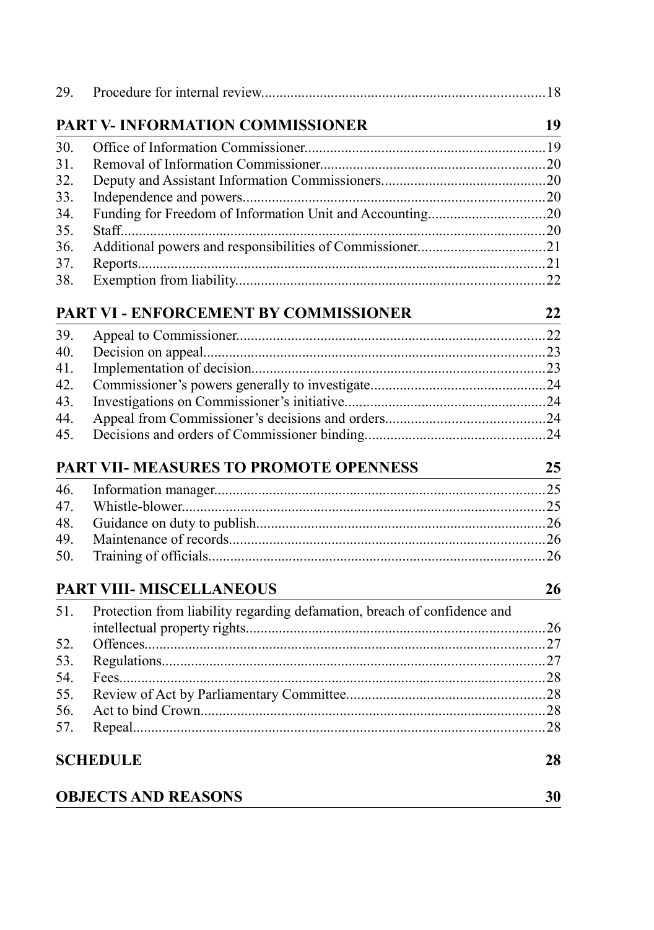| 29. |                                                                              |     |
|-----|------------------------------------------------------------------------------|-----|
|     | PART V- INFORMATION COMMISSIONER<br><u> 1989 - Johann Barbara, martxa al</u> | 19  |
| 30. |                                                                              |     |
| 31. |                                                                              |     |
| 32. |                                                                              |     |
| 33. |                                                                              |     |
| 34. | Funding for Freedom of Information Unit and Accounting20                     |     |
| 35. |                                                                              |     |
| 36. |                                                                              |     |
| 37. |                                                                              |     |
| 38. |                                                                              |     |
|     | PART VI - ENFORCEMENT BY COMMISSIONER                                        | 22  |
| 39. |                                                                              |     |
| 40. |                                                                              |     |
| 41. |                                                                              |     |
| 42. |                                                                              |     |
| 43. |                                                                              |     |
| 44. |                                                                              |     |
| 45. |                                                                              |     |
|     | PART VII- MEASURES TO PROMOTE OPENNESS                                       | 25  |
| 46. |                                                                              |     |
| 47. |                                                                              |     |
| 48. |                                                                              |     |
| 49. |                                                                              |     |
| 50. |                                                                              |     |
|     | PART VIII- MISCELLANEOUS                                                     | 26  |
| 51. | Protection from liability regarding defamation, breach of confidence and     |     |
|     |                                                                              |     |
| 52. |                                                                              |     |
| 53. |                                                                              |     |
| 54. |                                                                              |     |
| 55. |                                                                              |     |
| 56. |                                                                              |     |
| 57. |                                                                              | .28 |
|     | <b>SCHEDULE</b>                                                              | 28  |
|     | <b>OBJECTS AND REASONS</b>                                                   | 30  |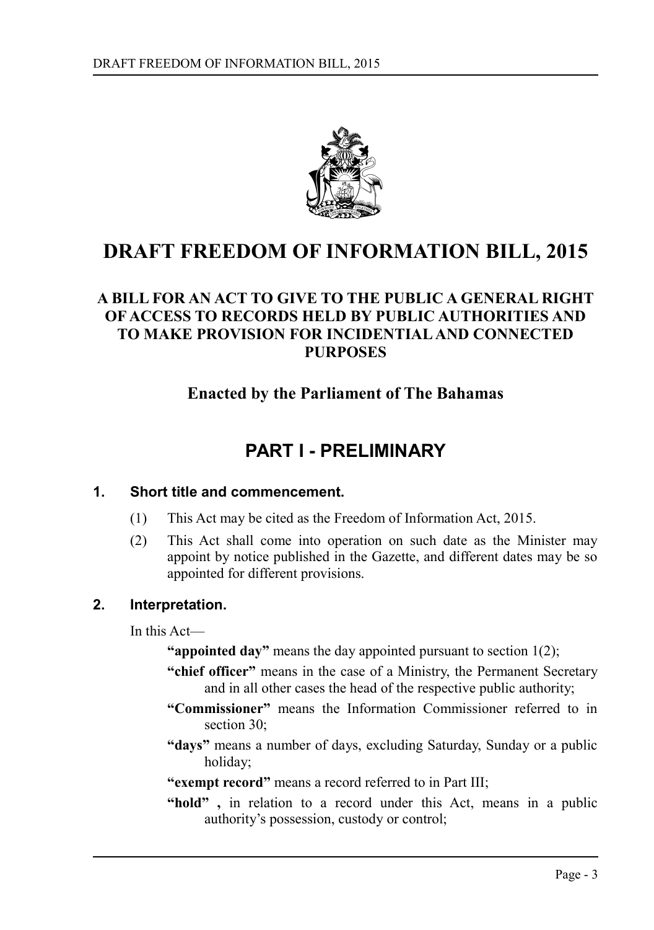

# **DRAFT FREEDOM OF INFORMATION BILL, 2015**

# **A BILL FOR AN ACT TO GIVE TO THE PUBLIC A GENERAL RIGHT OF ACCESS TO RECORDS HELD BY PUBLIC AUTHORITIES AND TO MAKE PROVISION FOR INCIDENTIAL AND CONNECTED PURPOSES**

# **Enacted by the Parliament of The Bahamas**

# <span id="page-2-0"></span>**PART I - PRELIMINARY**

#### **1. Short title and commencement.**

- <span id="page-2-2"></span>(1) This Act may be cited as the Freedom of Information Act, 2015.
- (2) This Act shall come into operation on such date as the Minister may appoint by notice published in the Gazette, and different dates may be so appointed for different provisions.

# **2. Interpretation.**

<span id="page-2-1"></span>In this Act—

- **"appointed day"** means the day appointed pursuant to section 1(2);
- **"chief officer"** means in the case of a Ministry, the Permanent Secretary and in all other cases the head of the respective public authority;
- **"Commissioner"** means the Information Commissioner referred to in section 30:
- **"days"** means a number of days, excluding Saturday, Sunday or a public holiday;
- **"exempt record"** means a record referred to in Part III;
- **"hold" ,** in relation to a record under this Act, means in a public authority's possession, custody or control;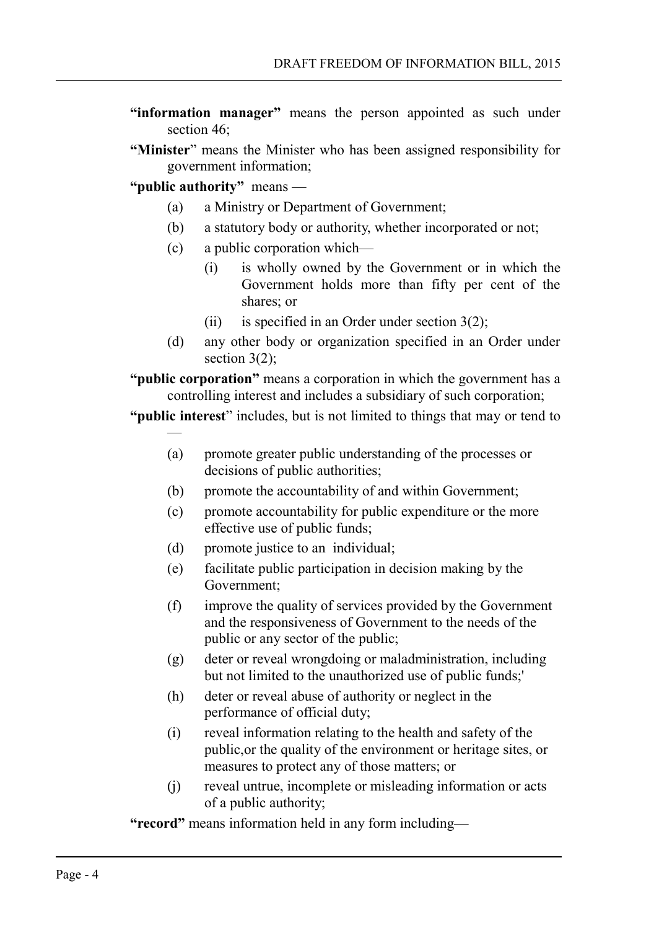- **"information manager"** means the person appointed as such under section 46<sup> $\cdot$ </sup>
- **"Minister**" means the Minister who has been assigned responsibility for government information;

**"public authority"** means —

—

- (a) a Ministry or Department of Government;
- (b) a statutory body or authority, whether incorporated or not;
- (c) a public corporation which—
	- (i) is wholly owned by the Government or in which the Government holds more than fifty per cent of the shares; or
	- (ii) is specified in an Order under section  $3(2)$ ;
- (d) any other body or organization specified in an Order under section  $3(2)$ ;

**"public corporation"** means a corporation in which the government has a controlling interest and includes a subsidiary of such corporation;

#### **"public interest**" includes, but is not limited to things that may or tend to

- (a) promote greater public understanding of the processes or decisions of public authorities;
- (b) promote the accountability of and within Government;
- (c) promote accountability for public expenditure or the more effective use of public funds;
- (d) promote justice to an individual;
- (e) facilitate public participation in decision making by the Government;
- (f) improve the quality of services provided by the Government and the responsiveness of Government to the needs of the public or any sector of the public;
- (g) deter or reveal wrongdoing or maladministration, including but not limited to the unauthorized use of public funds;'
- (h) deter or reveal abuse of authority or neglect in the performance of official duty;
- (i) reveal information relating to the health and safety of the public,or the quality of the environment or heritage sites, or measures to protect any of those matters; or
- (j) reveal untrue, incomplete or misleading information or acts of a public authority;

**"record"** means information held in any form including—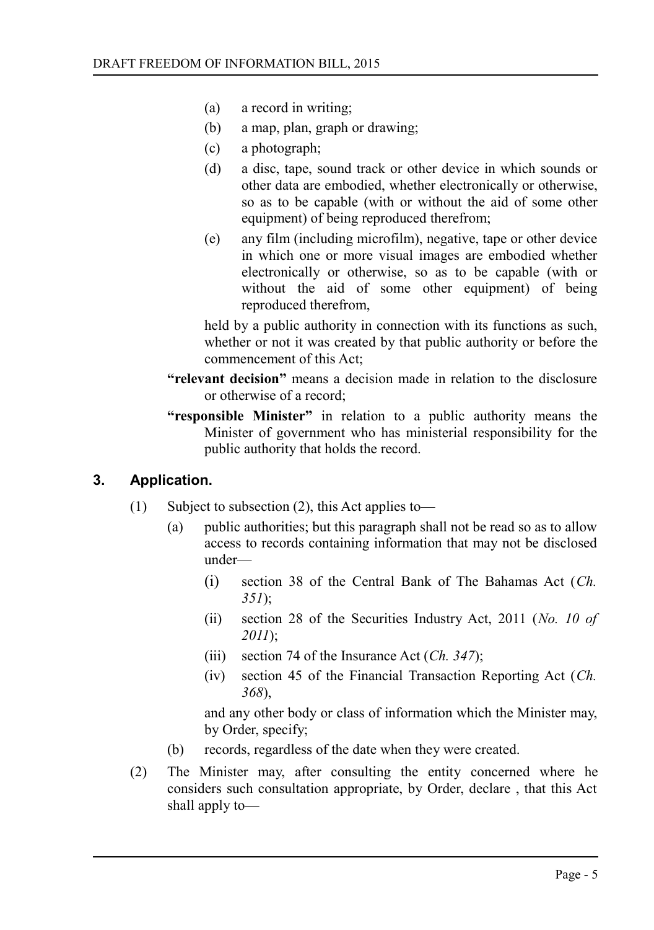- (a) a record in writing;
- (b) a map, plan, graph or drawing;
- (c) a photograph;
- (d) a disc, tape, sound track or other device in which sounds or other data are embodied, whether electronically or otherwise, so as to be capable (with or without the aid of some other equipment) of being reproduced therefrom;
- (e) any film (including microfilm), negative, tape or other device in which one or more visual images are embodied whether electronically or otherwise, so as to be capable (with or without the aid of some other equipment) of being reproduced therefrom,

held by a public authority in connection with its functions as such, whether or not it was created by that public authority or before the commencement of this Act;

- **"relevant decision"** means a decision made in relation to the disclosure or otherwise of a record;
- **"responsible Minister"** in relation to a public authority means the Minister of government who has ministerial responsibility for the public authority that holds the record.

#### **3. Application.**

- <span id="page-4-0"></span>(1) Subject to subsection (2), this Act applies to—
	- (a) public authorities; but this paragraph shall not be read so as to allow access to records containing information that may not be disclosed under—
		- (i) section 38 of the Central Bank of The Bahamas Act (*Ch. 351*);
		- (ii) section 28 of the Securities Industry Act, 2011 (*No. 10 of 2011*);
		- (iii) section 74 of the Insurance Act (*Ch. 347*);
		- (iv) section 45 of the Financial Transaction Reporting Act (*Ch. 368*),

and any other body or class of information which the Minister may, by Order, specify;

- (b) records, regardless of the date when they were created.
- (2) The Minister may, after consulting the entity concerned where he considers such consultation appropriate, by Order, declare , that this Act shall apply to—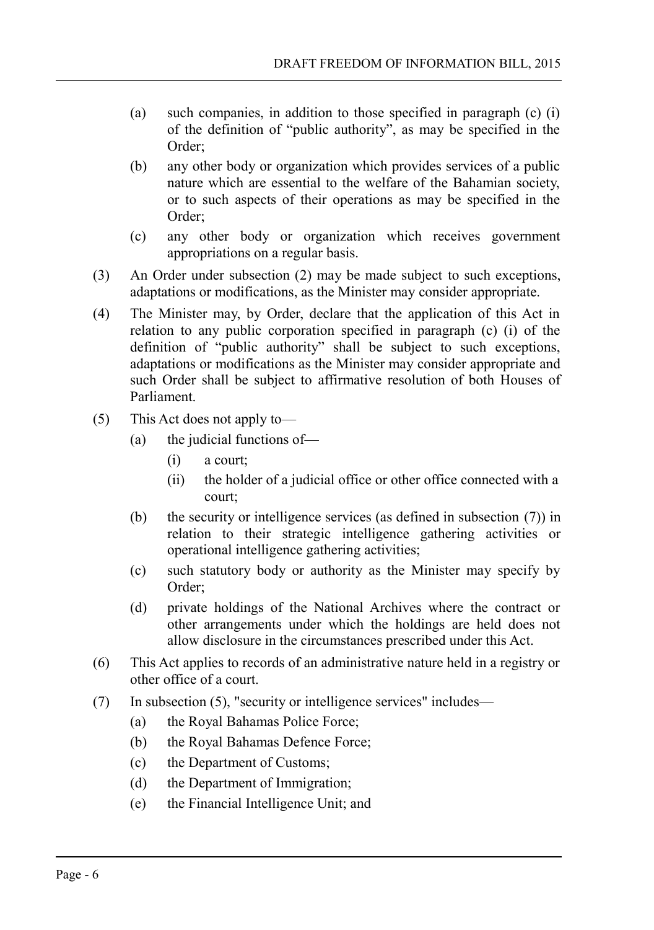- (a) such companies, in addition to those specified in paragraph (c) (i) of the definition of "public authority", as may be specified in the Order;
- (b) any other body or organization which provides services of a public nature which are essential to the welfare of the Bahamian society, or to such aspects of their operations as may be specified in the Order;
- (c) any other body or organization which receives government appropriations on a regular basis.
- (3) An Order under subsection (2) may be made subject to such exceptions, adaptations or modifications, as the Minister may consider appropriate.
- (4) The Minister may, by Order, declare that the application of this Act in relation to any public corporation specified in paragraph (c) (i) of the definition of "public authority" shall be subject to such exceptions, adaptations or modifications as the Minister may consider appropriate and such Order shall be subject to affirmative resolution of both Houses of Parliament.
- (5) This Act does not apply to—
	- (a) the judicial functions of—
		- (i) a court;
		- (ii) the holder of a judicial office or other office connected with a court;
	- (b) the security or intelligence services (as defined in subsection (7)) in relation to their strategic intelligence gathering activities or operational intelligence gathering activities;
	- (c) such statutory body or authority as the Minister may specify by Order;
	- (d) private holdings of the National Archives where the contract or other arrangements under which the holdings are held does not allow disclosure in the circumstances prescribed under this Act.
- (6) This Act applies to records of an administrative nature held in a registry or other office of a court.
- (7) In subsection (5), "security or intelligence services" includes—
	- (a) the Royal Bahamas Police Force;
	- (b) the Royal Bahamas Defence Force;
	- (c) the Department of Customs;
	- (d) the Department of Immigration;
	- (e) the Financial Intelligence Unit; and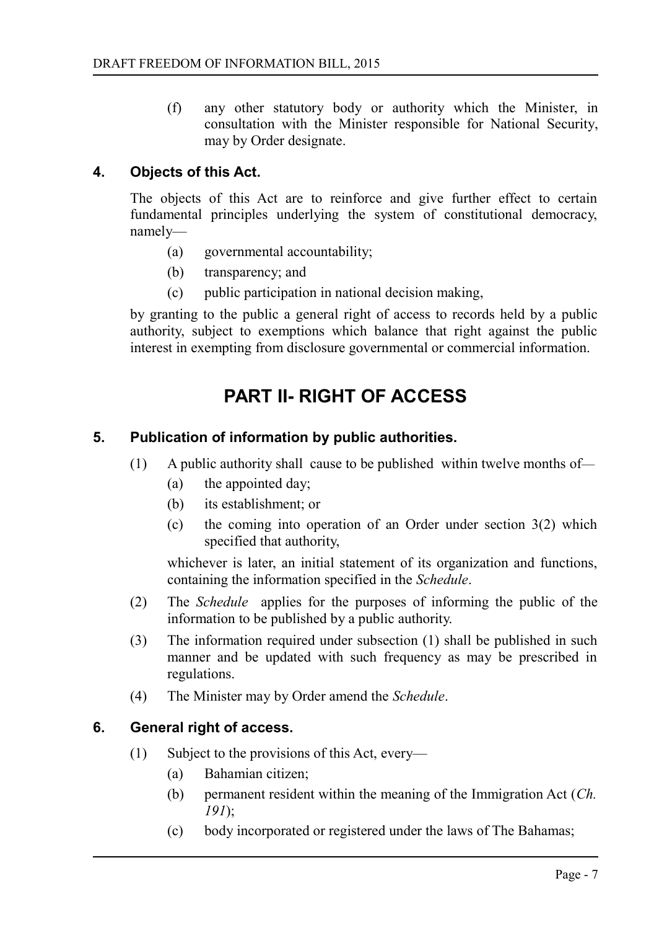(f) any other statutory body or authority which the Minister, in consultation with the Minister responsible for National Security, may by Order designate.

# **4. Objects of this Act.**

<span id="page-6-3"></span>The objects of this Act are to reinforce and give further effect to certain fundamental principles underlying the system of constitutional democracy, namely—

- (a) governmental accountability;
- (b) transparency; and
- (c) public participation in national decision making,

by granting to the public a general right of access to records held by a public authority, subject to exemptions which balance that right against the public interest in exempting from disclosure governmental or commercial information.

# <span id="page-6-2"></span>**PART II- RIGHT OF ACCESS**

#### **5. Publication of information by public authorities.**

- <span id="page-6-1"></span>(1) A public authority shall cause to be published within twelve months of—
	- (a) the appointed day;
	- (b) its establishment; or
	- (c) the coming into operation of an Order under section 3(2) which specified that authority,

whichever is later, an initial statement of its organization and functions, containing the information specified in the *Schedule*.

- (2) The *Schedule* applies for the purposes of informing the public of the information to be published by a public authority.
- (3) The information required under subsection (1) shall be published in such manner and be updated with such frequency as may be prescribed in regulations.
- (4) The Minister may by Order amend the *Schedule*.

#### **6. General right of access.**

- <span id="page-6-0"></span>(1) Subject to the provisions of this Act, every—
	- (a) Bahamian citizen;
	- (b) permanent resident within the meaning of the Immigration Act (*Ch. 191*);
	- (c) body incorporated or registered under the laws of The Bahamas;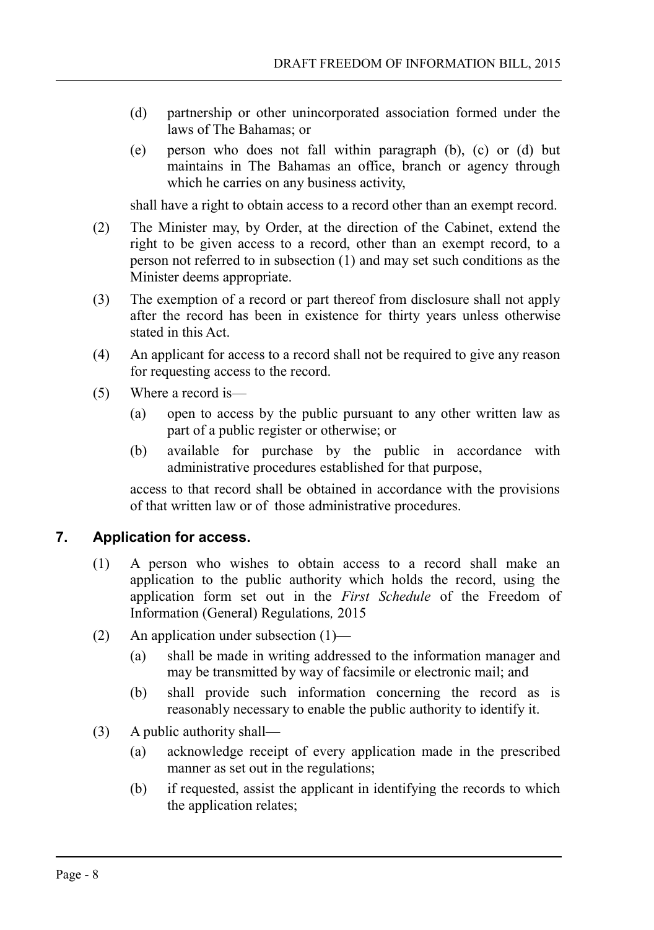- (d) partnership or other unincorporated association formed under the laws of The Bahamas; or
- (e) person who does not fall within paragraph (b), (c) or (d) but maintains in The Bahamas an office, branch or agency through which he carries on any business activity,

shall have a right to obtain access to a record other than an exempt record.

- (2) The Minister may, by Order, at the direction of the Cabinet, extend the right to be given access to a record, other than an exempt record, to a person not referred to in subsection (1) and may set such conditions as the Minister deems appropriate.
- (3) The exemption of a record or part thereof from disclosure shall not apply after the record has been in existence for thirty years unless otherwise stated in this Act.
- (4) An applicant for access to a record shall not be required to give any reason for requesting access to the record.
- (5) Where a record is—
	- (a) open to access by the public pursuant to any other written law as part of a public register or otherwise; or
	- (b) available for purchase by the public in accordance with administrative procedures established for that purpose,

access to that record shall be obtained in accordance with the provisions of that written law or of those administrative procedures.

# **7. Application for access.**

- <span id="page-7-0"></span>(1) A person who wishes to obtain access to a record shall make an application to the public authority which holds the record, using the application form set out in the *First Schedule* of the Freedom of Information (General) Regulations*,* 2015
- (2) An application under subsection (1)—
	- (a) shall be made in writing addressed to the information manager and may be transmitted by way of facsimile or electronic mail; and
	- (b) shall provide such information concerning the record as is reasonably necessary to enable the public authority to identify it.
- (3) A public authority shall—
	- (a) acknowledge receipt of every application made in the prescribed manner as set out in the regulations;
	- (b) if requested, assist the applicant in identifying the records to which the application relates;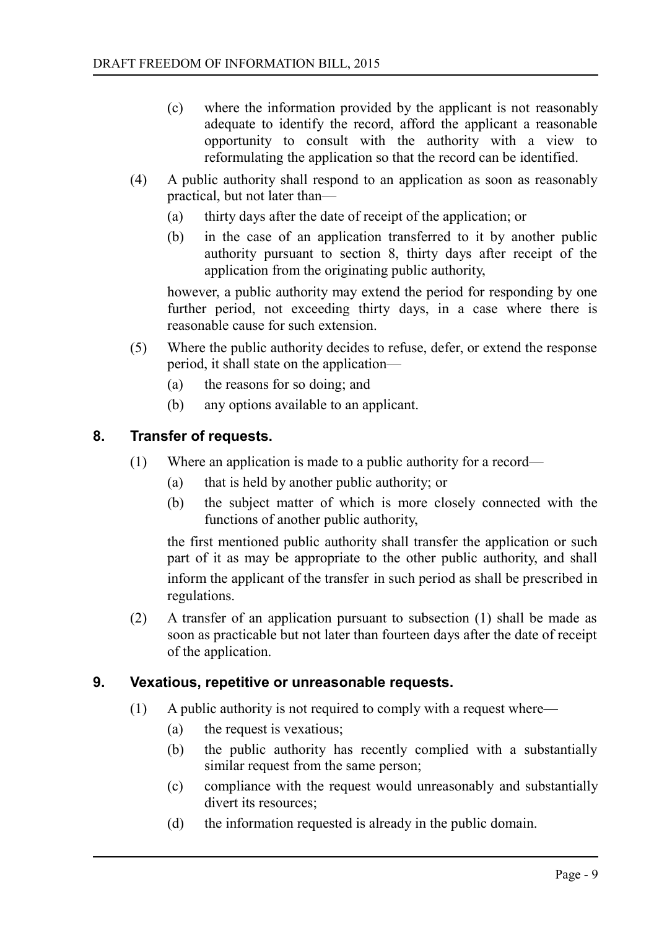- (c) where the information provided by the applicant is not reasonably adequate to identify the record, afford the applicant a reasonable opportunity to consult with the authority with a view to reformulating the application so that the record can be identified.
- (4) A public authority shall respond to an application as soon as reasonably practical, but not later than—
	- (a) thirty days after the date of receipt of the application; or
	- (b) in the case of an application transferred to it by another public authority pursuant to section 8, thirty days after receipt of the application from the originating public authority,

however, a public authority may extend the period for responding by one further period, not exceeding thirty days, in a case where there is reasonable cause for such extension.

- (5) Where the public authority decides to refuse, defer, or extend the response period, it shall state on the application—
	- (a) the reasons for so doing; and
	- (b) any options available to an applicant.

# **8. Transfer of requests.**

- <span id="page-8-1"></span>(1) Where an application is made to a public authority for a record—
	- (a) that is held by another public authority; or
	- (b) the subject matter of which is more closely connected with the functions of another public authority,

the first mentioned public authority shall transfer the application or such part of it as may be appropriate to the other public authority, and shall inform the applicant of the transfer in such period as shall be prescribed in regulations.

(2) A transfer of an application pursuant to subsection (1) shall be made as soon as practicable but not later than fourteen days after the date of receipt of the application.

#### **9. Vexatious, repetitive or unreasonable requests.**

- <span id="page-8-0"></span>(1) A public authority is not required to comply with a request where—
	- (a) the request is vexatious;
	- (b) the public authority has recently complied with a substantially similar request from the same person;
	- (c) compliance with the request would unreasonably and substantially divert its resources;
	- (d) the information requested is already in the public domain.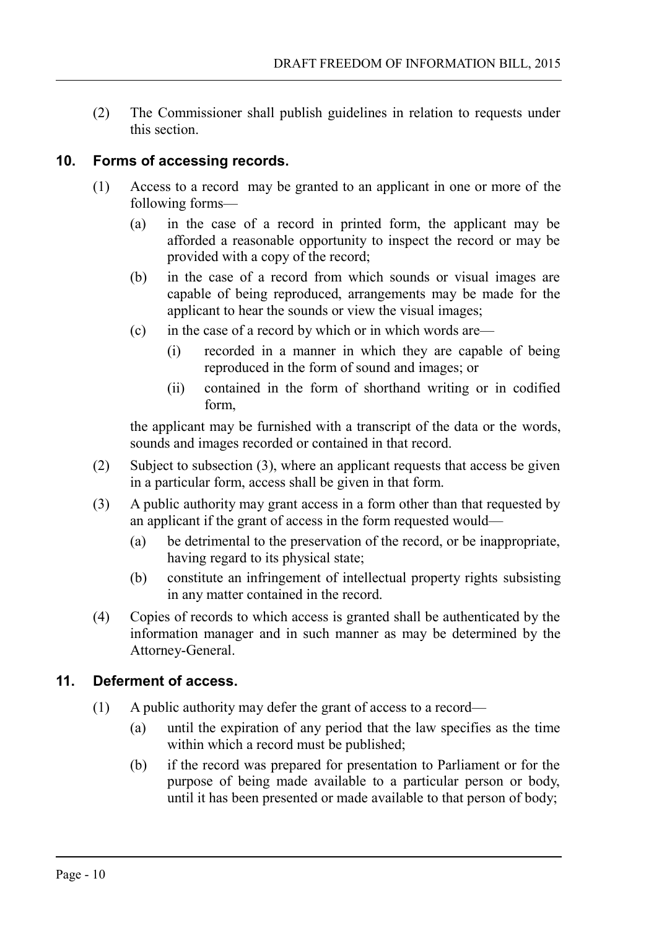(2) The Commissioner shall publish guidelines in relation to requests under this section.

### **10. Forms of accessing records.**

- <span id="page-9-1"></span>(1) Access to a record may be granted to an applicant in one or more of the following forms—
	- (a) in the case of a record in printed form, the applicant may be afforded a reasonable opportunity to inspect the record or may be provided with a copy of the record;
	- (b) in the case of a record from which sounds or visual images are capable of being reproduced, arrangements may be made for the applicant to hear the sounds or view the visual images;
	- (c) in the case of a record by which or in which words are—
		- (i) recorded in a manner in which they are capable of being reproduced in the form of sound and images; or
		- (ii) contained in the form of shorthand writing or in codified form,

the applicant may be furnished with a transcript of the data or the words, sounds and images recorded or contained in that record.

- (2) Subject to subsection (3), where an applicant requests that access be given in a particular form, access shall be given in that form.
- (3) A public authority may grant access in a form other than that requested by an applicant if the grant of access in the form requested would—
	- (a) be detrimental to the preservation of the record, or be inappropriate, having regard to its physical state;
	- (b) constitute an infringement of intellectual property rights subsisting in any matter contained in the record.
- (4) Copies of records to which access is granted shall be authenticated by the information manager and in such manner as may be determined by the Attorney-General.

# **11. Deferment of access.**

- <span id="page-9-0"></span>(1) A public authority may defer the grant of access to a record—
	- (a) until the expiration of any period that the law specifies as the time within which a record must be published;
	- (b) if the record was prepared for presentation to Parliament or for the purpose of being made available to a particular person or body, until it has been presented or made available to that person of body;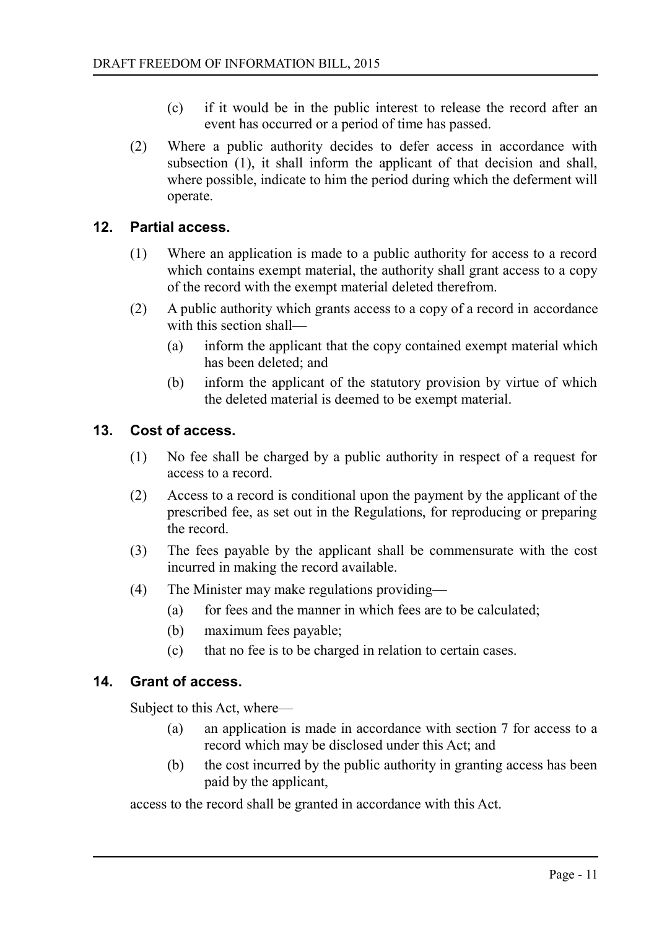- (c) if it would be in the public interest to release the record after an event has occurred or a period of time has passed.
- (2) Where a public authority decides to defer access in accordance with subsection (1), it shall inform the applicant of that decision and shall, where possible, indicate to him the period during which the deferment will operate.

#### **12. Partial access.**

- <span id="page-10-2"></span>(1) Where an application is made to a public authority for access to a record which contains exempt material, the authority shall grant access to a copy of the record with the exempt material deleted therefrom.
- (2) A public authority which grants access to a copy of a record in accordance with this section shall—
	- (a) inform the applicant that the copy contained exempt material which has been deleted; and
	- (b) inform the applicant of the statutory provision by virtue of which the deleted material is deemed to be exempt material.

#### **13. Cost of access.**

- <span id="page-10-1"></span>(1) No fee shall be charged by a public authority in respect of a request for access to a record.
- (2) Access to a record is conditional upon the payment by the applicant of the prescribed fee, as set out in the Regulations, for reproducing or preparing the record.
- (3) The fees payable by the applicant shall be commensurate with the cost incurred in making the record available.
- (4) The Minister may make regulations providing—
	- (a) for fees and the manner in which fees are to be calculated;
	- (b) maximum fees payable;
	- (c) that no fee is to be charged in relation to certain cases.

#### **14. Grant of access.**

<span id="page-10-0"></span>Subject to this Act, where—

- (a) an application is made in accordance with section 7 for access to a record which may be disclosed under this Act; and
- (b) the cost incurred by the public authority in granting access has been paid by the applicant,

access to the record shall be granted in accordance with this Act.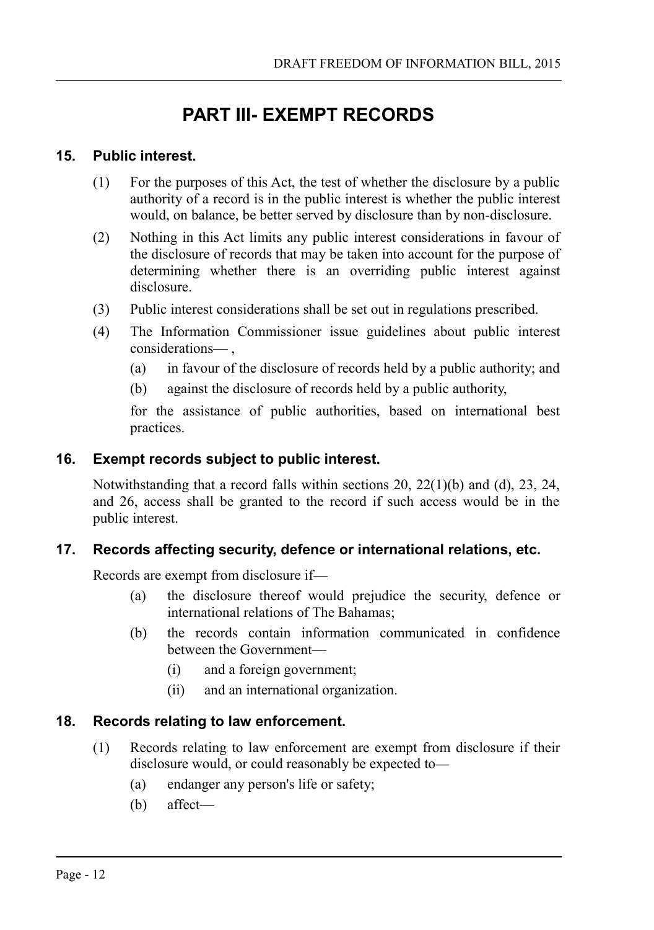# <span id="page-11-4"></span>**PART III- EXEMPT RECORDS**

### **15. Public interest.**

- <span id="page-11-3"></span>(1) For the purposes of this Act, the test of whether the disclosure by a public authority of a record is in the public interest is whether the public interest would, on balance, be better served by disclosure than by non-disclosure.
- (2) Nothing in this Act limits any public interest considerations in favour of the disclosure of records that may be taken into account for the purpose of determining whether there is an overriding public interest against disclosure.
- (3) Public interest considerations shall be set out in regulations prescribed.
- (4) The Information Commissioner issue guidelines about public interest considerations— ,
	- (a) in favour of the disclosure of records held by a public authority; and
	- (b) against the disclosure of records held by a public authority,

for the assistance of public authorities, based on international best practices.

### **16. Exempt records subject to public interest.**

<span id="page-11-2"></span>Notwithstanding that a record falls within sections 20,  $22(1)(b)$  and (d), 23, 24, and 26, access shall be granted to the record if such access would be in the public interest.

# **17. Records affecting security, defence or international relations, etc.**

<span id="page-11-1"></span>Records are exempt from disclosure if—

- (a) the disclosure thereof would prejudice the security, defence or international relations of The Bahamas;
- (b) the records contain information communicated in confidence between the Government—
	- (i) and a foreign government;
	- (ii) and an international organization.

# **18. Records relating to law enforcement.**

- <span id="page-11-0"></span>(1) Records relating to law enforcement are exempt from disclosure if their disclosure would, or could reasonably be expected to—
	- (a) endanger any person's life or safety;
	- (b) affect—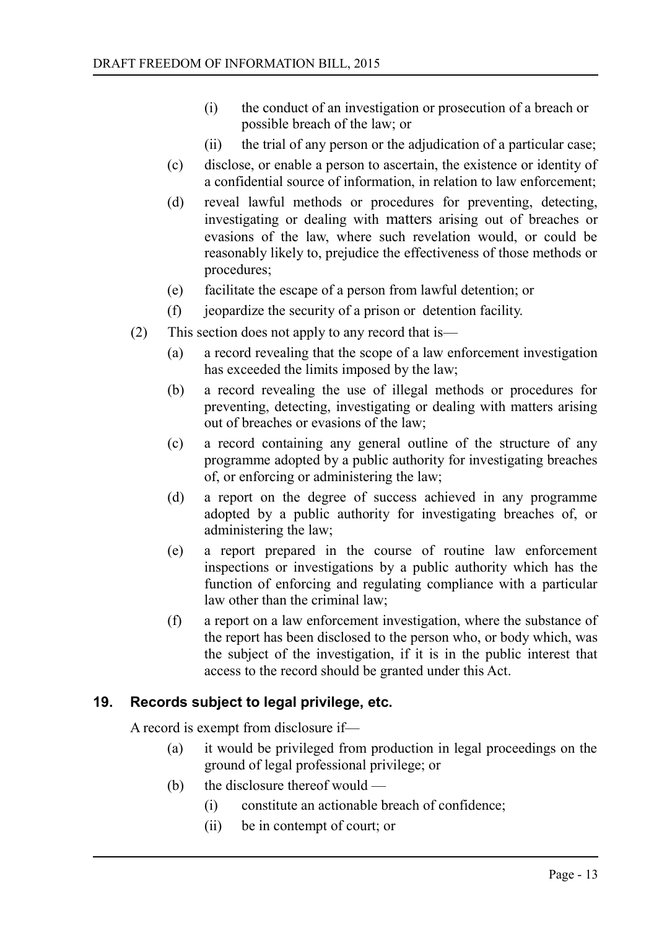- (i) the conduct of an investigation or prosecution of a breach or possible breach of the law; or
- (ii) the trial of any person or the adjudication of a particular case;
- (c) disclose, or enable a person to ascertain, the existence or identity of a confidential source of information, in relation to law enforcement;
- (d) reveal lawful methods or procedures for preventing, detecting, investigating or dealing with matters arising out of breaches or evasions of the law, where such revelation would, or could be reasonably likely to, prejudice the effectiveness of those methods or procedures;
- (e) facilitate the escape of a person from lawful detention; or
- (f) jeopardize the security of a prison or detention facility.
- (2) This section does not apply to any record that is—
	- (a) a record revealing that the scope of a law enforcement investigation has exceeded the limits imposed by the law;
	- (b) a record revealing the use of illegal methods or procedures for preventing, detecting, investigating or dealing with matters arising out of breaches or evasions of the law;
	- (c) a record containing any general outline of the structure of any programme adopted by a public authority for investigating breaches of, or enforcing or administering the law;
	- (d) a report on the degree of success achieved in any programme adopted by a public authority for investigating breaches of, or administering the law;
	- (e) a report prepared in the course of routine law enforcement inspections or investigations by a public authority which has the function of enforcing and regulating compliance with a particular law other than the criminal law;
	- (f) a report on a law enforcement investigation, where the substance of the report has been disclosed to the person who, or body which, was the subject of the investigation, if it is in the public interest that access to the record should be granted under this Act.

# **19. Records subject to legal privilege, etc.**

<span id="page-12-0"></span>A record is exempt from disclosure if—

- (a) it would be privileged from production in legal proceedings on the ground of legal professional privilege; or
- (b) the disclosure thereof would
	- (i) constitute an actionable breach of confidence;
	- (ii) be in contempt of court; or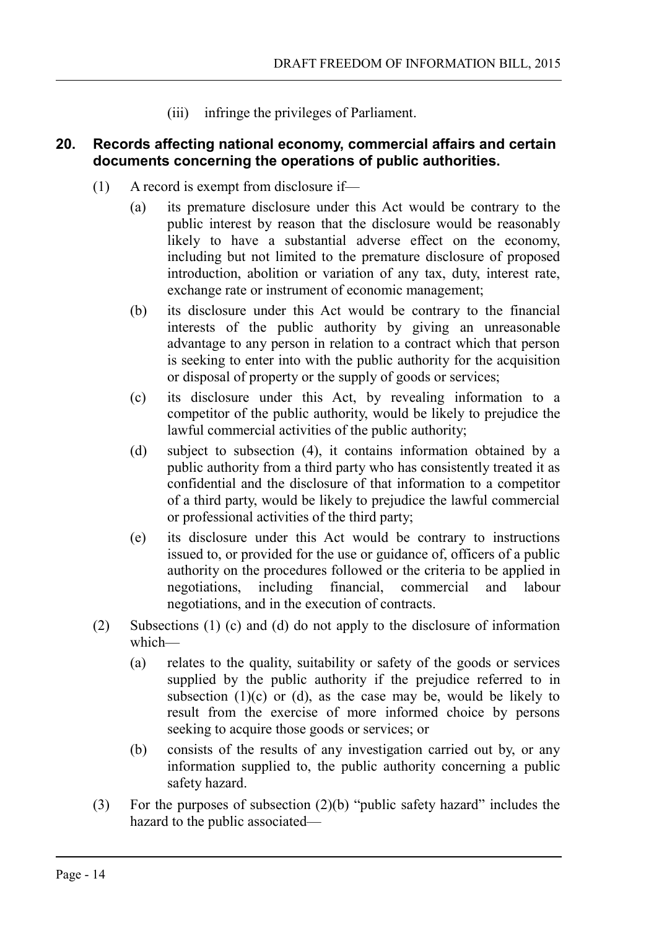(iii) infringe the privileges of Parliament.

### <span id="page-13-0"></span>**20. Records affecting national economy, commercial affairs and certain documents concerning the operations of public authorities.**

- (1) A record is exempt from disclosure if—
	- (a) its premature disclosure under this Act would be contrary to the public interest by reason that the disclosure would be reasonably likely to have a substantial adverse effect on the economy, including but not limited to the premature disclosure of proposed introduction, abolition or variation of any tax, duty, interest rate, exchange rate or instrument of economic management;
	- (b) its disclosure under this Act would be contrary to the financial interests of the public authority by giving an unreasonable advantage to any person in relation to a contract which that person is seeking to enter into with the public authority for the acquisition or disposal of property or the supply of goods or services;
	- (c) its disclosure under this Act, by revealing information to a competitor of the public authority, would be likely to prejudice the lawful commercial activities of the public authority;
	- (d) subject to subsection (4), it contains information obtained by a public authority from a third party who has consistently treated it as confidential and the disclosure of that information to a competitor of a third party, would be likely to prejudice the lawful commercial or professional activities of the third party;
	- (e) its disclosure under this Act would be contrary to instructions issued to, or provided for the use or guidance of, officers of a public authority on the procedures followed or the criteria to be applied in negotiations, including financial, commercial and labour negotiations, and in the execution of contracts.
- (2) Subsections (1) (c) and (d) do not apply to the disclosure of information which—
	- (a) relates to the quality, suitability or safety of the goods or services supplied by the public authority if the prejudice referred to in subsection  $(1)(c)$  or  $(d)$ , as the case may be, would be likely to result from the exercise of more informed choice by persons seeking to acquire those goods or services; or
	- (b) consists of the results of any investigation carried out by, or any information supplied to, the public authority concerning a public safety hazard.
- (3) For the purposes of subsection (2)(b) "public safety hazard" includes the hazard to the public associated—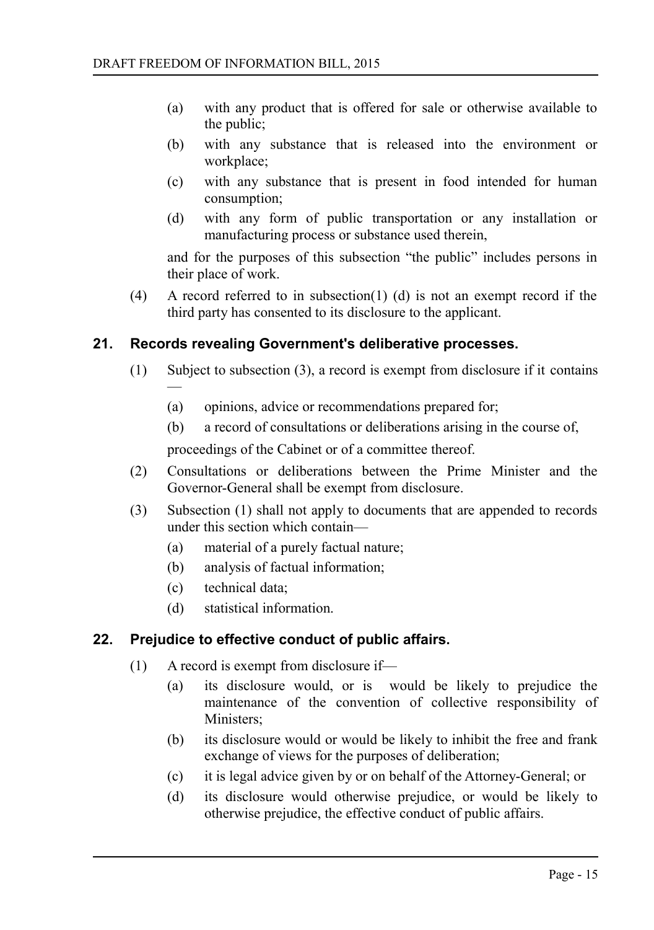- (a) with any product that is offered for sale or otherwise available to the public;
- (b) with any substance that is released into the environment or workplace;
- (c) with any substance that is present in food intended for human consumption;
- (d) with any form of public transportation or any installation or manufacturing process or substance used therein,

and for the purposes of this subsection "the public" includes persons in their place of work.

(4) A record referred to in subsection(1) (d) is not an exempt record if the third party has consented to its disclosure to the applicant.

# **21. Records revealing Government's deliberative processes.**

- <span id="page-14-1"></span>(1) Subject to subsection (3), a record is exempt from disclosure if it contains —
	- (a) opinions, advice or recommendations prepared for;
	- (b) a record of consultations or deliberations arising in the course of,

proceedings of the Cabinet or of a committee thereof.

- (2) Consultations or deliberations between the Prime Minister and the Governor-General shall be exempt from disclosure.
- (3) Subsection (1) shall not apply to documents that are appended to records under this section which contain—
	- (a) material of a purely factual nature;
	- (b) analysis of factual information;
	- (c) technical data;
	- (d) statistical information.

# **22. Prejudice to effective conduct of public affairs.**

- <span id="page-14-0"></span>(1) A record is exempt from disclosure if—
	- (a) its disclosure would, or is would be likely to prejudice the maintenance of the convention of collective responsibility of Ministers;
	- (b) its disclosure would or would be likely to inhibit the free and frank exchange of views for the purposes of deliberation;
	- (c) it is legal advice given by or on behalf of the Attorney-General; or
	- (d) its disclosure would otherwise prejudice, or would be likely to otherwise prejudice, the effective conduct of public affairs.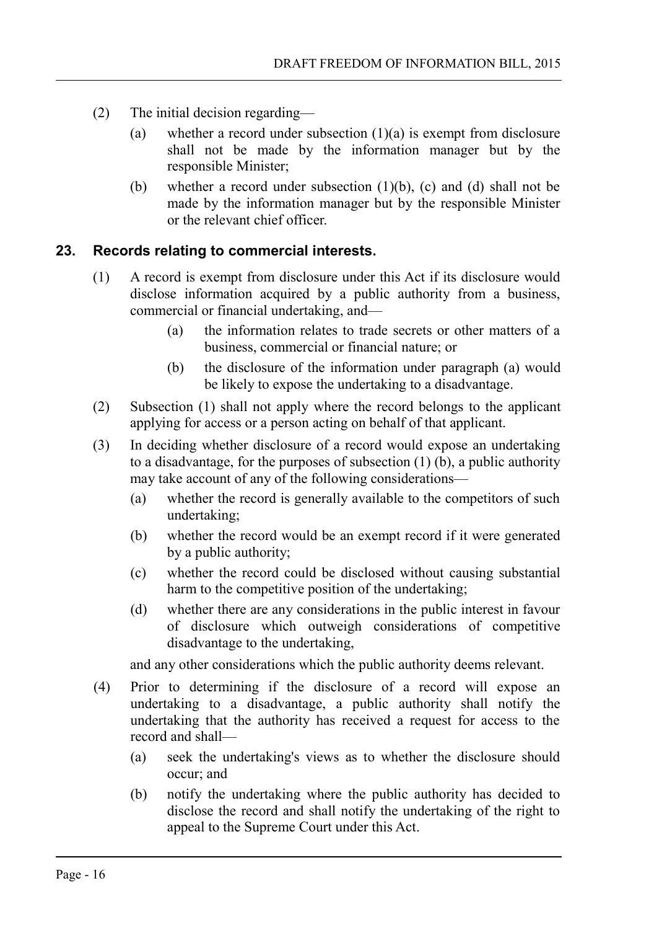- (2) The initial decision regarding—
	- (a) whether a record under subsection  $(1)(a)$  is exempt from disclosure shall not be made by the information manager but by the responsible Minister;
	- (b) whether a record under subsection  $(1)(b)$ ,  $(c)$  and  $(d)$  shall not be made by the information manager but by the responsible Minister or the relevant chief officer.

### **23. Records relating to commercial interests.**

- <span id="page-15-0"></span>(1) A record is exempt from disclosure under this Act if its disclosure would disclose information acquired by a public authority from a business, commercial or financial undertaking, and—
	- (a) the information relates to trade secrets or other matters of a business, commercial or financial nature; or
	- (b) the disclosure of the information under paragraph (a) would be likely to expose the undertaking to a disadvantage.
- (2) Subsection (1) shall not apply where the record belongs to the applicant applying for access or a person acting on behalf of that applicant.
- (3) In deciding whether disclosure of a record would expose an undertaking to a disadvantage, for the purposes of subsection (1) (b), a public authority may take account of any of the following considerations—
	- (a) whether the record is generally available to the competitors of such undertaking;
	- (b) whether the record would be an exempt record if it were generated by a public authority;
	- (c) whether the record could be disclosed without causing substantial harm to the competitive position of the undertaking;
	- (d) whether there are any considerations in the public interest in favour of disclosure which outweigh considerations of competitive disadvantage to the undertaking,

and any other considerations which the public authority deems relevant.

- (4) Prior to determining if the disclosure of a record will expose an undertaking to a disadvantage, a public authority shall notify the undertaking that the authority has received a request for access to the record and shall—
	- (a) seek the undertaking's views as to whether the disclosure should occur; and
	- (b) notify the undertaking where the public authority has decided to disclose the record and shall notify the undertaking of the right to appeal to the Supreme Court under this Act.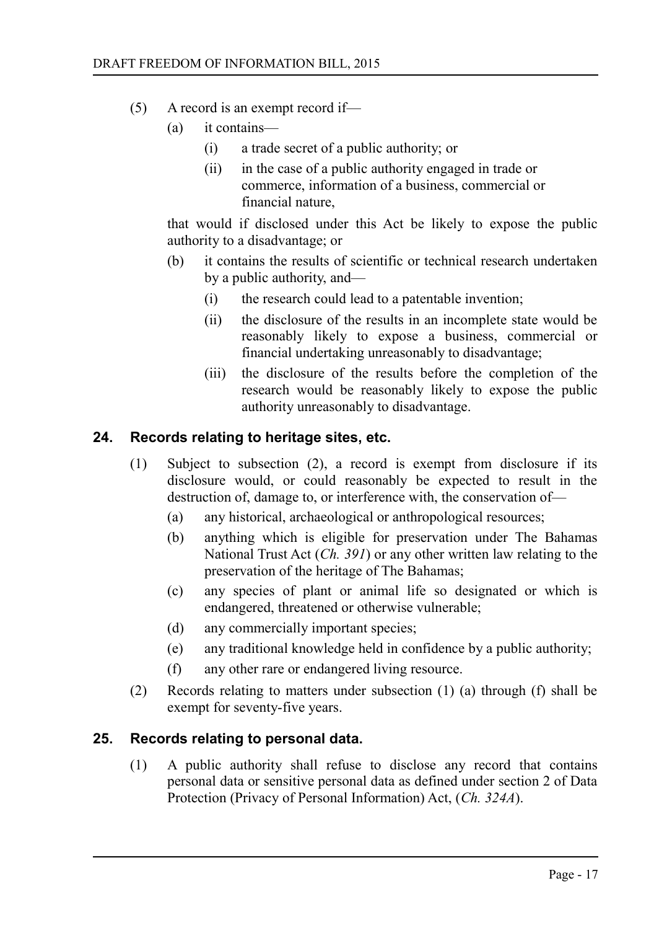- (5) A record is an exempt record if—
	- (a) it contains—
		- (i) a trade secret of a public authority; or
		- (ii) in the case of a public authority engaged in trade or commerce, information of a business, commercial or financial nature,

that would if disclosed under this Act be likely to expose the public authority to a disadvantage; or

- (b) it contains the results of scientific or technical research undertaken by a public authority, and—
	- (i) the research could lead to a patentable invention;
	- (ii) the disclosure of the results in an incomplete state would be reasonably likely to expose a business, commercial or financial undertaking unreasonably to disadvantage;
	- (iii) the disclosure of the results before the completion of the research would be reasonably likely to expose the public authority unreasonably to disadvantage.

#### **24. Records relating to heritage sites, etc.**

- <span id="page-16-1"></span>(1) Subject to subsection (2), a record is exempt from disclosure if its disclosure would, or could reasonably be expected to result in the destruction of, damage to, or interference with, the conservation of—
	- (a) any historical, archaeological or anthropological resources;
	- (b) anything which is eligible for preservation under The Bahamas National Trust Act (*Ch. 391*) or any other written law relating to the preservation of the heritage of The Bahamas;
	- (c) any species of plant or animal life so designated or which is endangered, threatened or otherwise vulnerable;
	- (d) any commercially important species;
	- (e) any traditional knowledge held in confidence by a public authority;
	- (f) any other rare or endangered living resource.
- (2) Records relating to matters under subsection (1) (a) through (f) shall be exempt for seventy-five years.

#### **25. Records relating to personal data.**

<span id="page-16-0"></span>(1) A public authority shall refuse to disclose any record that contains personal data or sensitive personal data as defined under section 2 of Data Protection (Privacy of Personal Information) Act, (*Ch. 324A*).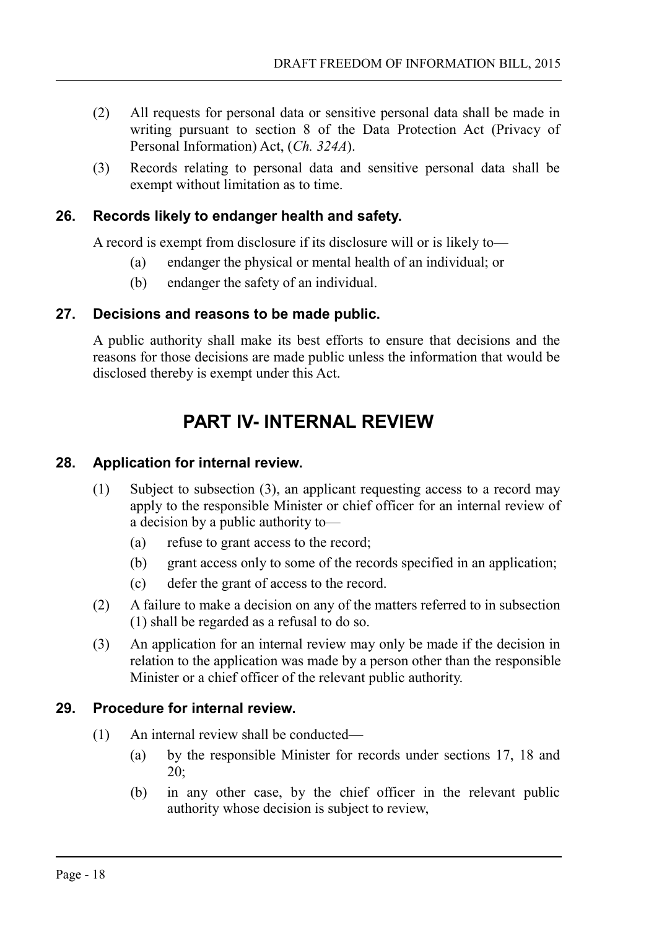- (2) All requests for personal data or sensitive personal data shall be made in writing pursuant to section 8 of the Data Protection Act (Privacy of Personal Information) Act, (*Ch. 324A*).
- (3) Records relating to personal data and sensitive personal data shall be exempt without limitation as to time.

# **26. Records likely to endanger health and safety.**

<span id="page-17-3"></span>A record is exempt from disclosure if its disclosure will or is likely to—

- (a) endanger the physical or mental health of an individual; or
- (b) endanger the safety of an individual.

### **27. Decisions and reasons to be made public.**

<span id="page-17-2"></span>A public authority shall make its best efforts to ensure that decisions and the reasons for those decisions are made public unless the information that would be disclosed thereby is exempt under this Act.

# <span id="page-17-1"></span>**PART IV- INTERNAL REVIEW**

### **28. Application for internal review.**

- <span id="page-17-0"></span>(1) Subject to subsection (3), an applicant requesting access to a record may apply to the responsible Minister or chief officer for an internal review of a decision by a public authority to—
	- (a) refuse to grant access to the record;
	- (b) grant access only to some of the records specified in an application;
	- (c) defer the grant of access to the record.
- (2) A failure to make a decision on any of the matters referred to in subsection (1) shall be regarded as a refusal to do so.
- (3) An application for an internal review may only be made if the decision in relation to the application was made by a person other than the responsible Minister or a chief officer of the relevant public authority.

# **29. Procedure for internal review.**

- <span id="page-17-4"></span>(1) An internal review shall be conducted—
	- (a) by the responsible Minister for records under sections 17, 18 and 20;
	- (b) in any other case, by the chief officer in the relevant public authority whose decision is subject to review,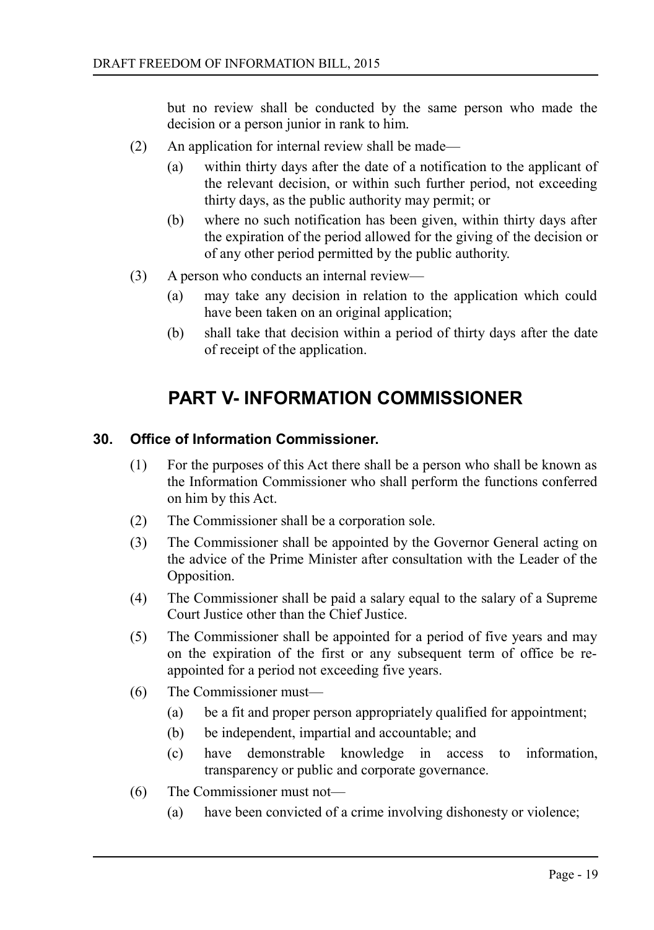but no review shall be conducted by the same person who made the decision or a person junior in rank to him.

- (2) An application for internal review shall be made—
	- (a) within thirty days after the date of a notification to the applicant of the relevant decision, or within such further period, not exceeding thirty days, as the public authority may permit; or
	- (b) where no such notification has been given, within thirty days after the expiration of the period allowed for the giving of the decision or of any other period permitted by the public authority.
- (3) A person who conducts an internal review—
	- (a) may take any decision in relation to the application which could have been taken on an original application;
	- (b) shall take that decision within a period of thirty days after the date of receipt of the application.

# <span id="page-18-1"></span>**PART V- INFORMATION COMMISSIONER**

### **30. Office of Information Commissioner.**

- <span id="page-18-0"></span>(1) For the purposes of this Act there shall be a person who shall be known as the Information Commissioner who shall perform the functions conferred on him by this Act.
- (2) The Commissioner shall be a corporation sole.
- (3) The Commissioner shall be appointed by the Governor General acting on the advice of the Prime Minister after consultation with the Leader of the Opposition.
- (4) The Commissioner shall be paid a salary equal to the salary of a Supreme Court Justice other than the Chief Justice.
- (5) The Commissioner shall be appointed for a period of five years and may on the expiration of the first or any subsequent term of office be reappointed for a period not exceeding five years.
- (6) The Commissioner must—
	- (a) be a fit and proper person appropriately qualified for appointment;
	- (b) be independent, impartial and accountable; and
	- (c) have demonstrable knowledge in access to information, transparency or public and corporate governance.
- (6) The Commissioner must not—
	- (a) have been convicted of a crime involving dishonesty or violence;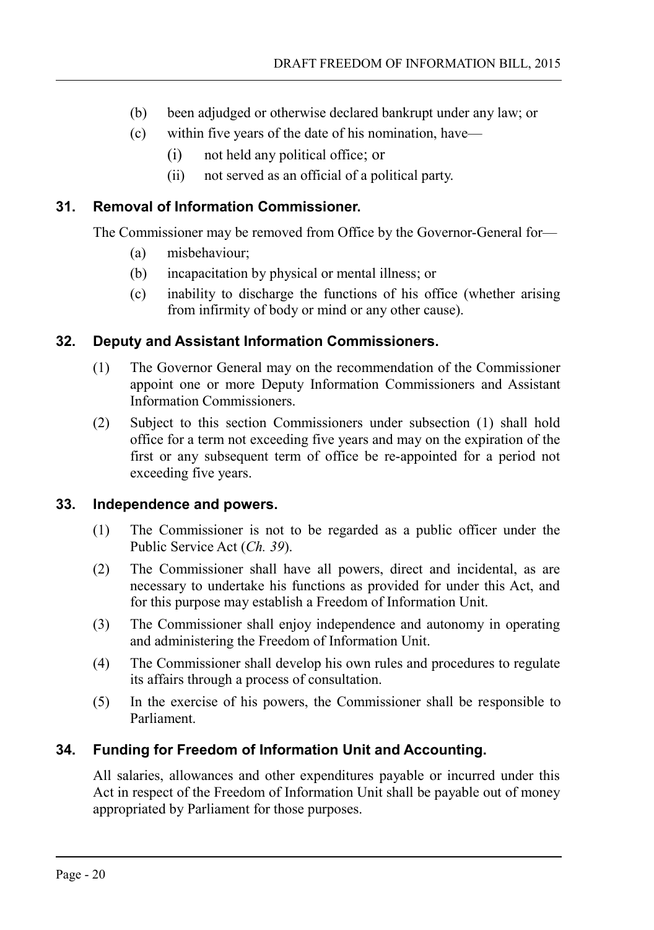- (b) been adjudged or otherwise declared bankrupt under any law; or
- (c) within five years of the date of his nomination, have—
	- (i) not held any political office; or
	- (ii) not served as an official of a political party.

# **31. Removal of Information Commissioner.**

<span id="page-19-3"></span>The Commissioner may be removed from Office by the Governor-General for—

- (a) misbehaviour;
- (b) incapacitation by physical or mental illness; or
- (c) inability to discharge the functions of his office (whether arising from infirmity of body or mind or any other cause).

# **32. Deputy and Assistant Information Commissioners.**

- <span id="page-19-2"></span>(1) The Governor General may on the recommendation of the Commissioner appoint one or more Deputy Information Commissioners and Assistant Information Commissioners.
- (2) Subject to this section Commissioners under subsection (1) shall hold office for a term not exceeding five years and may on the expiration of the first or any subsequent term of office be re-appointed for a period not exceeding five years.

#### **33. Independence and powers.**

- <span id="page-19-1"></span>(1) The Commissioner is not to be regarded as a public officer under the Public Service Act (*Ch. 39*).
- (2) The Commissioner shall have all powers, direct and incidental, as are necessary to undertake his functions as provided for under this Act, and for this purpose may establish a Freedom of Information Unit.
- (3) The Commissioner shall enjoy independence and autonomy in operating and administering the Freedom of Information Unit.
- (4) The Commissioner shall develop his own rules and procedures to regulate its affairs through a process of consultation.
- (5) In the exercise of his powers, the Commissioner shall be responsible to Parliament.

# **34. Funding for Freedom of Information Unit and Accounting.**

<span id="page-19-0"></span>All salaries, allowances and other expenditures payable or incurred under this Act in respect of the Freedom of Information Unit shall be payable out of money appropriated by Parliament for those purposes.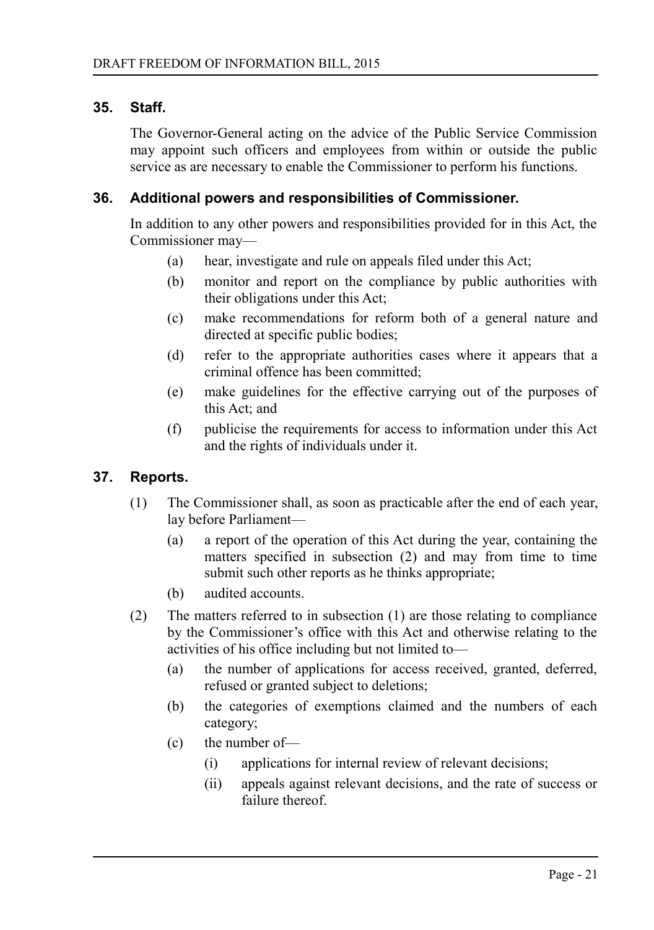### **35. Staff.**

<span id="page-20-2"></span>The Governor-General acting on the advice of the Public Service Commission may appoint such officers and employees from within or outside the public service as are necessary to enable the Commissioner to perform his functions.

#### **36. Additional powers and responsibilities of Commissioner.**

<span id="page-20-1"></span>In addition to any other powers and responsibilities provided for in this Act, the Commissioner may—

- (a) hear, investigate and rule on appeals filed under this Act;
- (b) monitor and report on the compliance by public authorities with their obligations under this Act;
- (c) make recommendations for reform both of a general nature and directed at specific public bodies;
- (d) refer to the appropriate authorities cases where it appears that a criminal offence has been committed;
- (e) make guidelines for the effective carrying out of the purposes of this Act; and
- (f) publicise the requirements for access to information under this Act and the rights of individuals under it.

# **37. Reports.**

- <span id="page-20-0"></span>(1) The Commissioner shall, as soon as practicable after the end of each year, lay before Parliament—
	- (a) a report of the operation of this Act during the year, containing the matters specified in subsection (2) and may from time to time submit such other reports as he thinks appropriate;
	- (b) audited accounts.
- (2) The matters referred to in subsection (1) are those relating to compliance by the Commissioner's office with this Act and otherwise relating to the activities of his office including but not limited to—
	- (a) the number of applications for access received, granted, deferred, refused or granted subject to deletions;
	- (b) the categories of exemptions claimed and the numbers of each category;
	- (c) the number of—
		- (i) applications for internal review of relevant decisions;
		- (ii) appeals against relevant decisions, and the rate of success or failure thereof.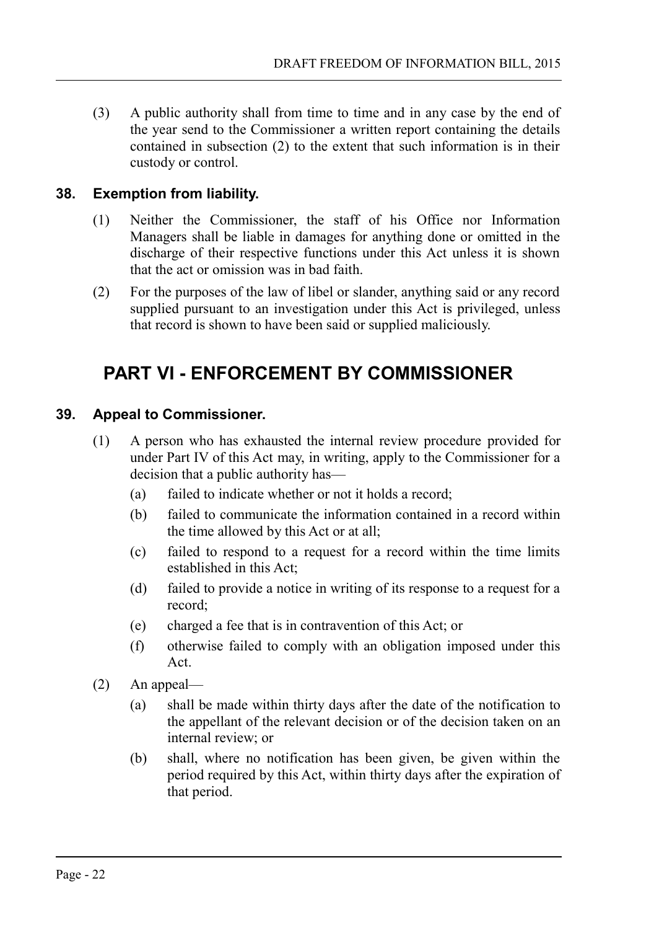(3) A public authority shall from time to time and in any case by the end of the year send to the Commissioner a written report containing the details contained in subsection (2) to the extent that such information is in their custody or control.

# **38. Exemption from liability.**

- <span id="page-21-2"></span>(1) Neither the Commissioner, the staff of his Office nor Information Managers shall be liable in damages for anything done or omitted in the discharge of their respective functions under this Act unless it is shown that the act or omission was in bad faith.
- (2) For the purposes of the law of libel or slander, anything said or any record supplied pursuant to an investigation under this Act is privileged, unless that record is shown to have been said or supplied maliciously.

# <span id="page-21-1"></span>**PART VI - ENFORCEMENT BY COMMISSIONER**

# **39. Appeal to Commissioner.**

- <span id="page-21-0"></span>(1) A person who has exhausted the internal review procedure provided for under Part IV of this Act may, in writing, apply to the Commissioner for a decision that a public authority has—
	- (a) failed to indicate whether or not it holds a record;
	- (b) failed to communicate the information contained in a record within the time allowed by this Act or at all;
	- (c) failed to respond to a request for a record within the time limits established in this Act;
	- (d) failed to provide a notice in writing of its response to a request for a record;
	- (e) charged a fee that is in contravention of this Act; or
	- (f) otherwise failed to comply with an obligation imposed under this Act.
- (2) An appeal—
	- (a) shall be made within thirty days after the date of the notification to the appellant of the relevant decision or of the decision taken on an internal review; or
	- (b) shall, where no notification has been given, be given within the period required by this Act, within thirty days after the expiration of that period.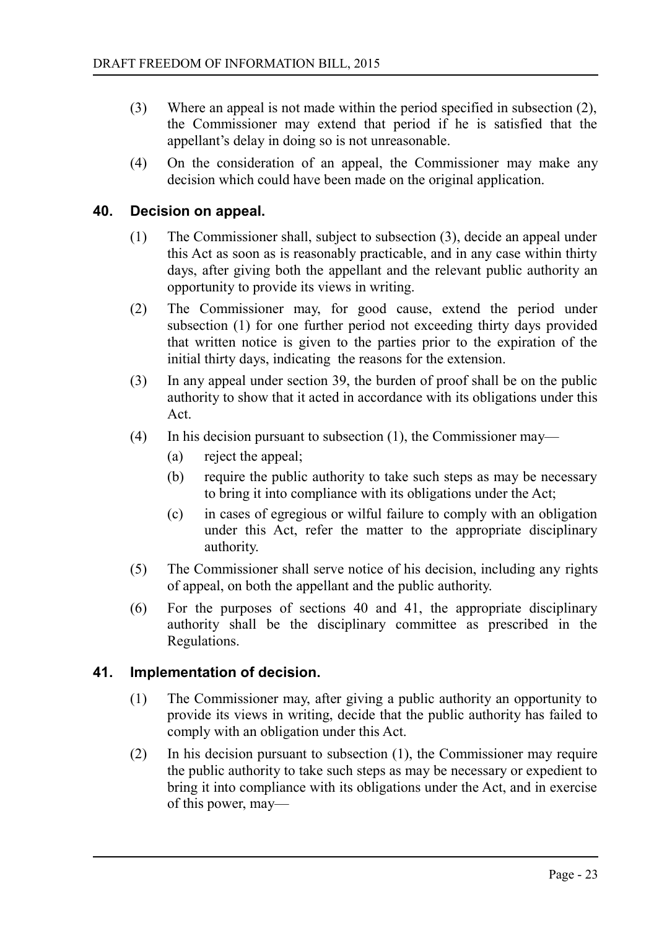- (3) Where an appeal is not made within the period specified in subsection (2), the Commissioner may extend that period if he is satisfied that the appellant's delay in doing so is not unreasonable.
- (4) On the consideration of an appeal, the Commissioner may make any decision which could have been made on the original application.

### **40. Decision on appeal.**

- <span id="page-22-1"></span>(1) The Commissioner shall, subject to subsection (3), decide an appeal under this Act as soon as is reasonably practicable, and in any case within thirty days, after giving both the appellant and the relevant public authority an opportunity to provide its views in writing.
- (2) The Commissioner may, for good cause, extend the period under subsection (1) for one further period not exceeding thirty days provided that written notice is given to the parties prior to the expiration of the initial thirty days, indicating the reasons for the extension.
- (3) In any appeal under section 39, the burden of proof shall be on the public authority to show that it acted in accordance with its obligations under this Act.
- (4) In his decision pursuant to subsection (1), the Commissioner may—
	- (a) reject the appeal;
	- (b) require the public authority to take such steps as may be necessary to bring it into compliance with its obligations under the Act;
	- (c) in cases of egregious or wilful failure to comply with an obligation under this Act, refer the matter to the appropriate disciplinary authority.
- (5) The Commissioner shall serve notice of his decision, including any rights of appeal, on both the appellant and the public authority.
- (6) For the purposes of sections 40 and 41, the appropriate disciplinary authority shall be the disciplinary committee as prescribed in the Regulations.

#### **41. Implementation of decision.**

- <span id="page-22-0"></span>(1) The Commissioner may, after giving a public authority an opportunity to provide its views in writing, decide that the public authority has failed to comply with an obligation under this Act.
- (2) In his decision pursuant to subsection (1), the Commissioner may require the public authority to take such steps as may be necessary or expedient to bring it into compliance with its obligations under the Act, and in exercise of this power, may—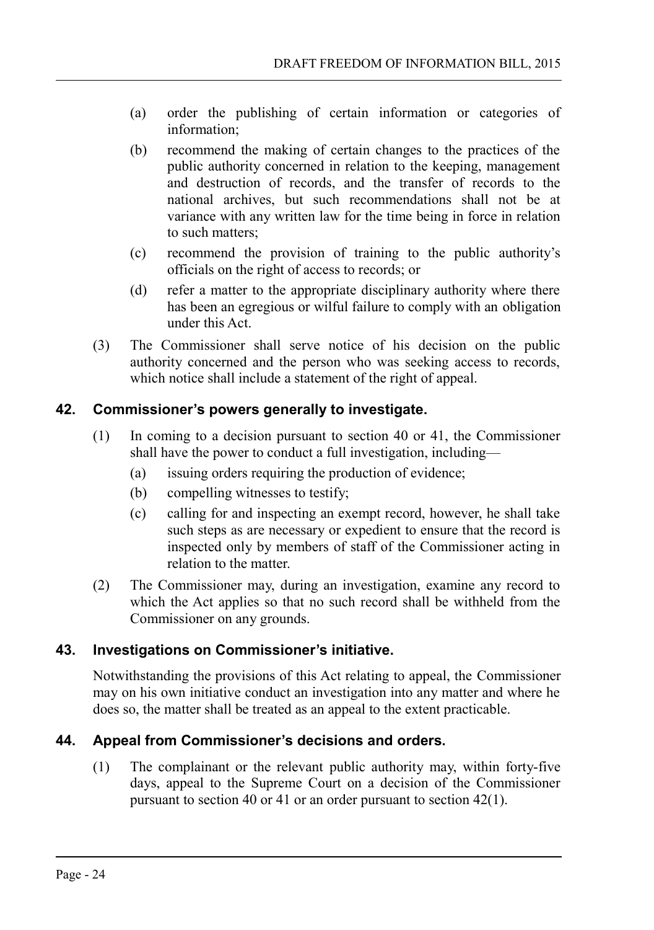- (a) order the publishing of certain information or categories of information;
- (b) recommend the making of certain changes to the practices of the public authority concerned in relation to the keeping, management and destruction of records, and the transfer of records to the national archives, but such recommendations shall not be at variance with any written law for the time being in force in relation to such matters;
- (c) recommend the provision of training to the public authority's officials on the right of access to records; or
- (d) refer a matter to the appropriate disciplinary authority where there has been an egregious or wilful failure to comply with an obligation under this Act.
- (3) The Commissioner shall serve notice of his decision on the public authority concerned and the person who was seeking access to records, which notice shall include a statement of the right of appeal.

# **42. Commissioner's powers generally to investigate.**

- <span id="page-23-2"></span>(1) In coming to a decision pursuant to section 40 or 41, the Commissioner shall have the power to conduct a full investigation, including—
	- (a) issuing orders requiring the production of evidence;
	- (b) compelling witnesses to testify;
	- (c) calling for and inspecting an exempt record, however, he shall take such steps as are necessary or expedient to ensure that the record is inspected only by members of staff of the Commissioner acting in relation to the matter.
- (2) The Commissioner may, during an investigation, examine any record to which the Act applies so that no such record shall be withheld from the Commissioner on any grounds.

# **43. Investigations on Commissioner's initiative.**

<span id="page-23-1"></span>Notwithstanding the provisions of this Act relating to appeal, the Commissioner may on his own initiative conduct an investigation into any matter and where he does so, the matter shall be treated as an appeal to the extent practicable.

# **44. Appeal from Commissioner's decisions and orders.**

<span id="page-23-0"></span>(1) The complainant or the relevant public authority may, within forty-five days, appeal to the Supreme Court on a decision of the Commissioner pursuant to section 40 or 41 or an order pursuant to section 42(1).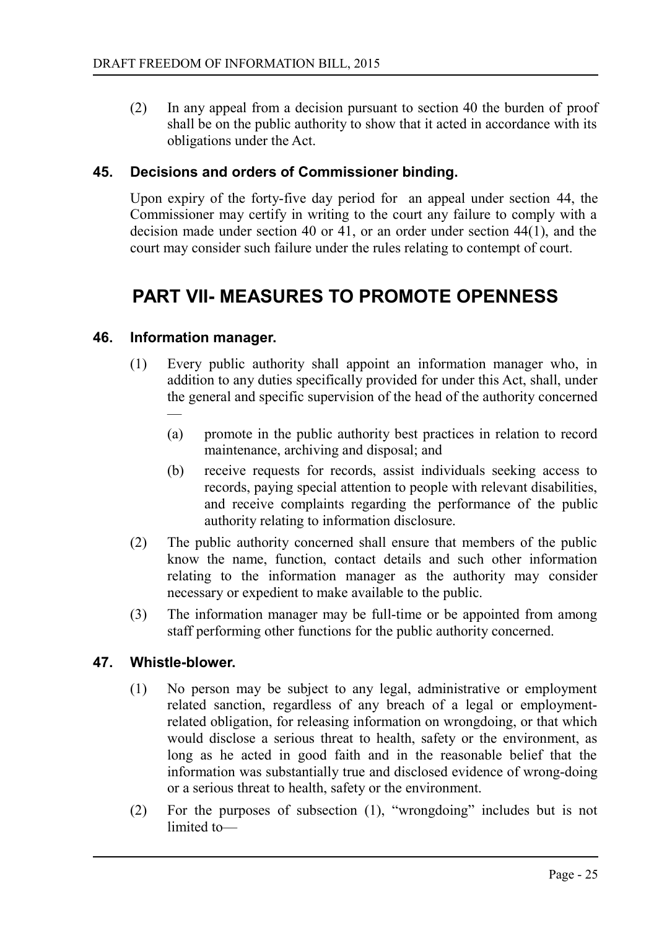(2) In any appeal from a decision pursuant to section 40 the burden of proof shall be on the public authority to show that it acted in accordance with its obligations under the Act.

#### **45. Decisions and orders of Commissioner binding.**

<span id="page-24-3"></span>Upon expiry of the forty-five day period for an appeal under section 44, the Commissioner may certify in writing to the court any failure to comply with a decision made under section 40 or 41, or an order under section 44(1), and the court may consider such failure under the rules relating to contempt of court.

# <span id="page-24-2"></span>**PART VII- MEASURES TO PROMOTE OPENNESS**

#### **46. Information manager.**

- <span id="page-24-1"></span>(1) Every public authority shall appoint an information manager who, in addition to any duties specifically provided for under this Act, shall, under the general and specific supervision of the head of the authority concerned —
	- (a) promote in the public authority best practices in relation to record maintenance, archiving and disposal; and
	- (b) receive requests for records, assist individuals seeking access to records, paying special attention to people with relevant disabilities, and receive complaints regarding the performance of the public authority relating to information disclosure.
- (2) The public authority concerned shall ensure that members of the public know the name, function, contact details and such other information relating to the information manager as the authority may consider necessary or expedient to make available to the public.
- (3) The information manager may be full-time or be appointed from among staff performing other functions for the public authority concerned.

#### **47. Whistle-blower.**

- <span id="page-24-0"></span>(1) No person may be subject to any legal, administrative or employment related sanction, regardless of any breach of a legal or employmentrelated obligation, for releasing information on wrongdoing, or that which would disclose a serious threat to health, safety or the environment, as long as he acted in good faith and in the reasonable belief that the information was substantially true and disclosed evidence of wrong-doing or a serious threat to health, safety or the environment.
- (2) For the purposes of subsection (1), "wrongdoing" includes but is not limited to—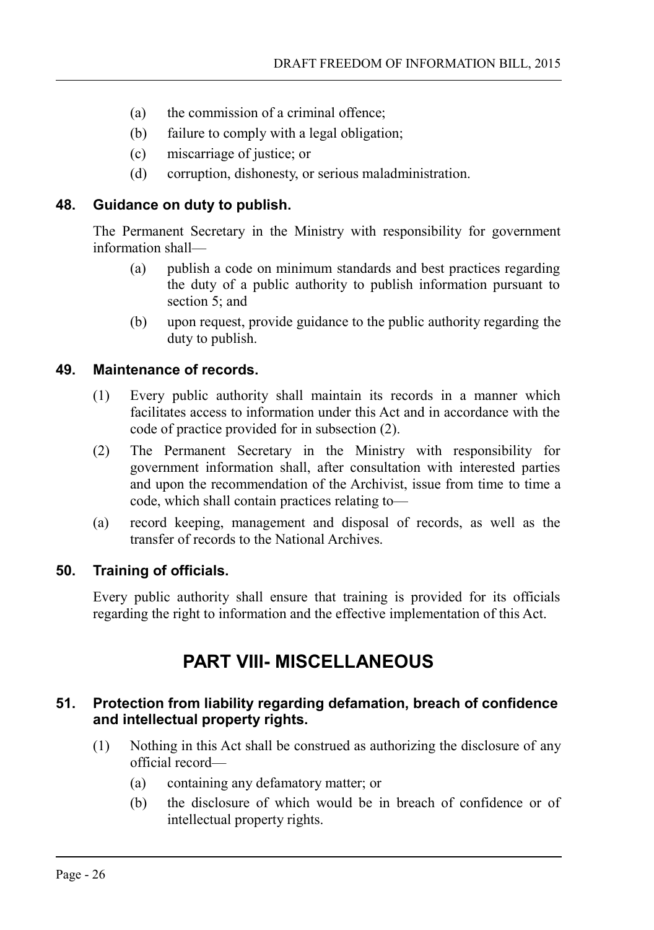- (a) the commission of a criminal offence;
- (b) failure to comply with a legal obligation;
- (c) miscarriage of justice; or
- (d) corruption, dishonesty, or serious maladministration.

# **48. Guidance on duty to publish.**

<span id="page-25-4"></span>The Permanent Secretary in the Ministry with responsibility for government information shall—

- (a) publish a code on minimum standards and best practices regarding the duty of a public authority to publish information pursuant to section 5: and
- (b) upon request, provide guidance to the public authority regarding the duty to publish.

# **49. Maintenance of records.**

- <span id="page-25-3"></span>(1) Every public authority shall maintain its records in a manner which facilitates access to information under this Act and in accordance with the code of practice provided for in subsection (2).
- (2) The Permanent Secretary in the Ministry with responsibility for government information shall, after consultation with interested parties and upon the recommendation of the Archivist, issue from time to time a code, which shall contain practices relating to—
- (a) record keeping, management and disposal of records, as well as the transfer of records to the National Archives.

# **50. Training of officials.**

<span id="page-25-2"></span>Every public authority shall ensure that training is provided for its officials regarding the right to information and the effective implementation of this Act.

# <span id="page-25-1"></span>**PART VIII- MISCELLANEOUS**

# <span id="page-25-0"></span>**51. Protection from liability regarding defamation, breach of confidence and intellectual property rights.**

- (1) Nothing in this Act shall be construed as authorizing the disclosure of any official record—
	- (a) containing any defamatory matter; or
	- (b) the disclosure of which would be in breach of confidence or of intellectual property rights.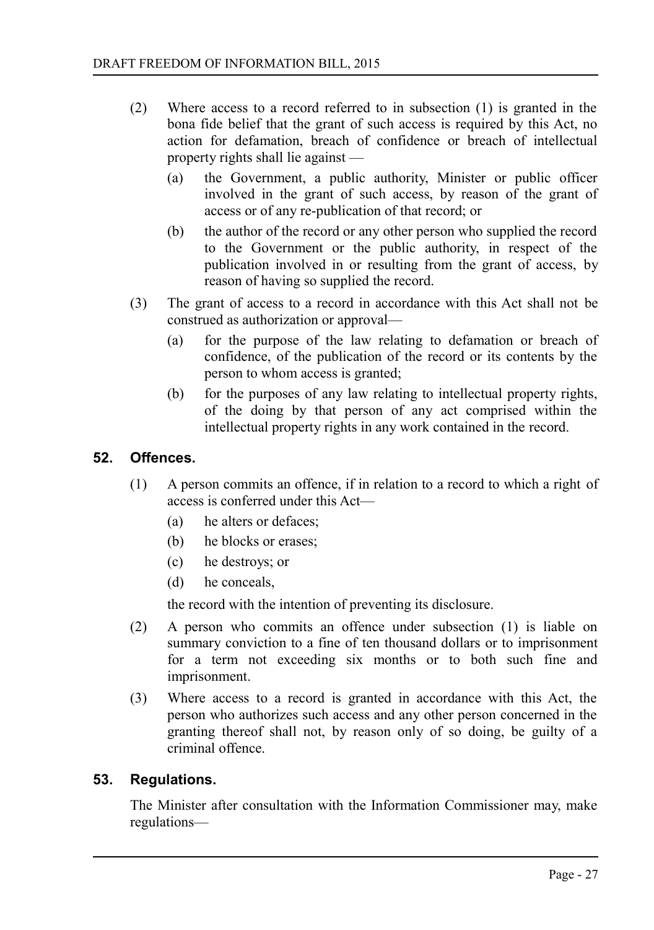- (2) Where access to a record referred to in subsection (1) is granted in the bona fide belief that the grant of such access is required by this Act, no action for defamation, breach of confidence or breach of intellectual property rights shall lie against —
	- (a) the Government, a public authority, Minister or public officer involved in the grant of such access, by reason of the grant of access or of any re-publication of that record; or
	- (b) the author of the record or any other person who supplied the record to the Government or the public authority, in respect of the publication involved in or resulting from the grant of access, by reason of having so supplied the record.
- (3) The grant of access to a record in accordance with this Act shall not be construed as authorization or approval—
	- (a) for the purpose of the law relating to defamation or breach of confidence, of the publication of the record or its contents by the person to whom access is granted;
	- (b) for the purposes of any law relating to intellectual property rights, of the doing by that person of any act comprised within the intellectual property rights in any work contained in the record.

### **52. Offences.**

- <span id="page-26-1"></span>(1) A person commits an offence, if in relation to a record to which a right of access is conferred under this Act—
	- (a) he alters or defaces;
	- (b) he blocks or erases;
	- (c) he destroys; or
	- (d) he conceals,

the record with the intention of preventing its disclosure.

- (2) A person who commits an offence under subsection (1) is liable on summary conviction to a fine of ten thousand dollars or to imprisonment for a term not exceeding six months or to both such fine and imprisonment.
- (3) Where access to a record is granted in accordance with this Act, the person who authorizes such access and any other person concerned in the granting thereof shall not, by reason only of so doing, be guilty of a criminal offence.

#### **53. Regulations.**

<span id="page-26-0"></span>The Minister after consultation with the Information Commissioner may, make regulations—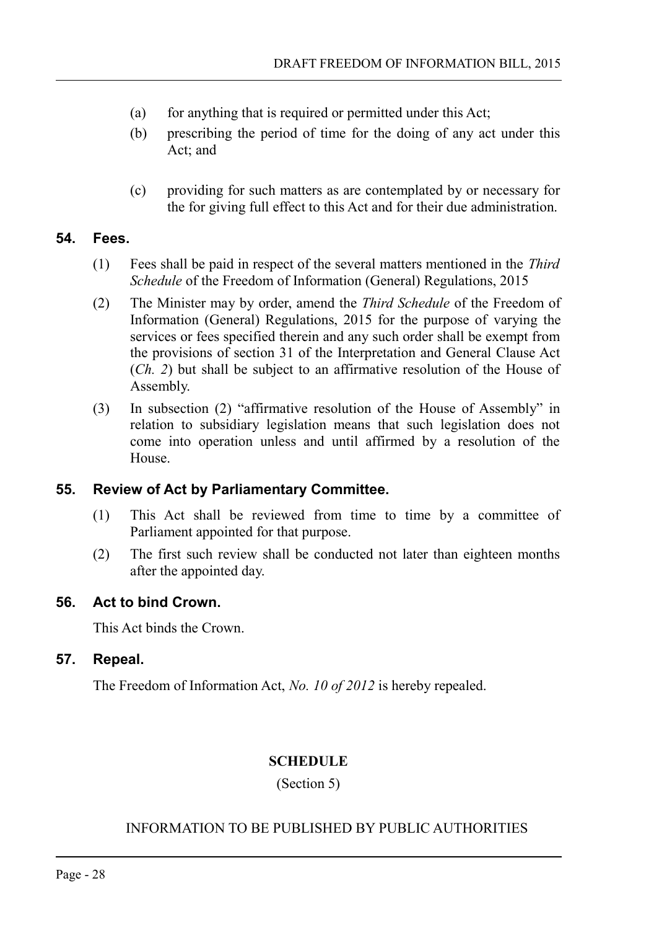- (a) for anything that is required or permitted under this Act;
- (b) prescribing the period of time for the doing of any act under this Act; and
- (c) providing for such matters as are contemplated by or necessary for the for giving full effect to this Act and for their due administration.

# **54. Fees.**

- <span id="page-27-4"></span>(1) Fees shall be paid in respect of the several matters mentioned in the *Third Schedule* of the Freedom of Information (General) Regulations, 2015
- (2) The Minister may by order, amend the *Third Schedule* of the Freedom of Information (General) Regulations, 2015 for the purpose of varying the services or fees specified therein and any such order shall be exempt from the provisions of section 31 of the Interpretation and General Clause Act (*Ch. 2*) but shall be subject to an affirmative resolution of the House of Assembly.
- (3) In subsection (2) "affirmative resolution of the House of Assembly" in relation to subsidiary legislation means that such legislation does not come into operation unless and until affirmed by a resolution of the House.

# **55. Review of Act by Parliamentary Committee.**

- <span id="page-27-3"></span>(1) This Act shall be reviewed from time to time by a committee of Parliament appointed for that purpose.
- (2) The first such review shall be conducted not later than eighteen months after the appointed day.

# **56. Act to bind Crown.**

<span id="page-27-2"></span>This Act binds the Crown.

# **57. Repeal.**

<span id="page-27-1"></span>The Freedom of Information Act, *No. 10 of 2012* is hereby repealed.

# <span id="page-27-0"></span>**SCHEDULE**

(Section 5)

# INFORMATION TO BE PUBLISHED BY PUBLIC AUTHORITIES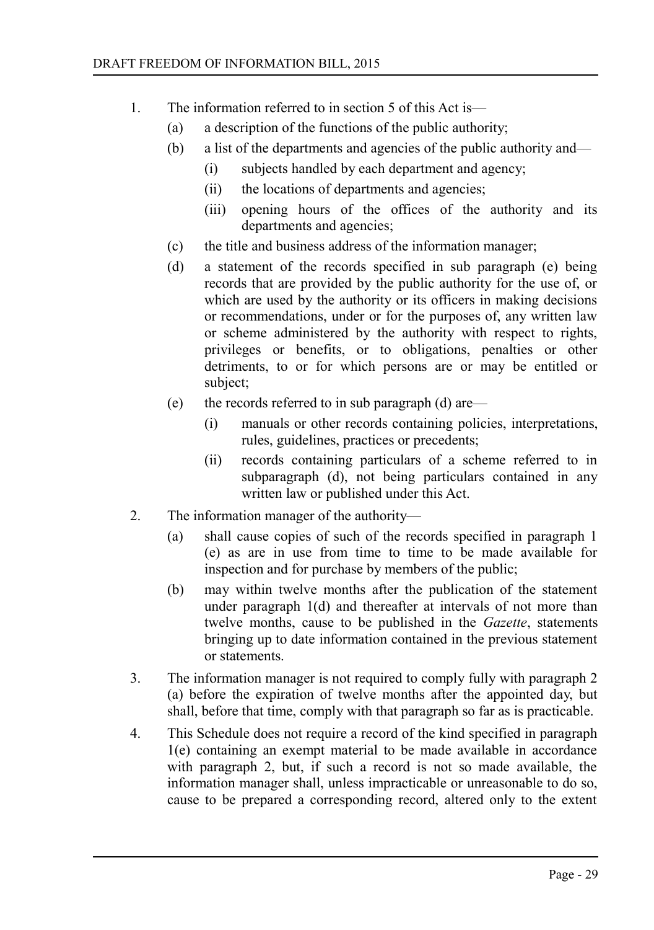- 1. The information referred to in section 5 of this Act is—
	- (a) a description of the functions of the public authority;
	- (b) a list of the departments and agencies of the public authority and—
		- (i) subjects handled by each department and agency;
		- (ii) the locations of departments and agencies;
		- (iii) opening hours of the offices of the authority and its departments and agencies;
	- (c) the title and business address of the information manager;
	- (d) a statement of the records specified in sub paragraph (e) being records that are provided by the public authority for the use of, or which are used by the authority or its officers in making decisions or recommendations, under or for the purposes of, any written law or scheme administered by the authority with respect to rights, privileges or benefits, or to obligations, penalties or other detriments, to or for which persons are or may be entitled or subject;
	- (e) the records referred to in sub paragraph (d) are—
		- (i) manuals or other records containing policies, interpretations, rules, guidelines, practices or precedents;
		- (ii) records containing particulars of a scheme referred to in subparagraph (d), not being particulars contained in any written law or published under this Act.
- 2. The information manager of the authority—
	- (a) shall cause copies of such of the records specified in paragraph 1 (e) as are in use from time to time to be made available for inspection and for purchase by members of the public;
	- (b) may within twelve months after the publication of the statement under paragraph 1(d) and thereafter at intervals of not more than twelve months, cause to be published in the *Gazette*, statements bringing up to date information contained in the previous statement or statements.
- 3. The information manager is not required to comply fully with paragraph 2 (a) before the expiration of twelve months after the appointed day, but shall, before that time, comply with that paragraph so far as is practicable.
- 4. This Schedule does not require a record of the kind specified in paragraph 1(e) containing an exempt material to be made available in accordance with paragraph 2, but, if such a record is not so made available, the information manager shall, unless impracticable or unreasonable to do so, cause to be prepared a corresponding record, altered only to the extent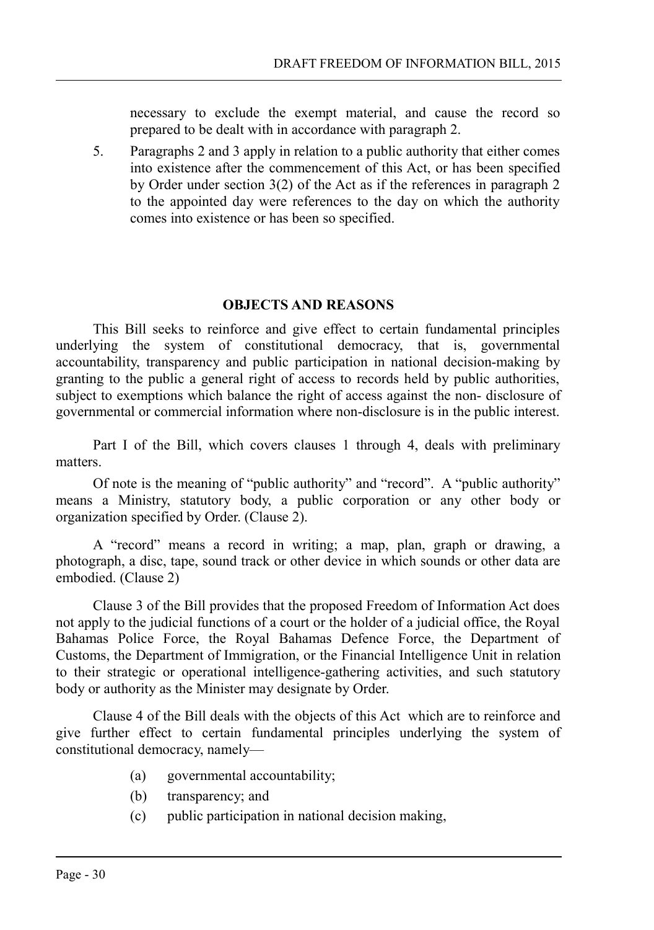necessary to exclude the exempt material, and cause the record so prepared to be dealt with in accordance with paragraph 2.

5. Paragraphs 2 and 3 apply in relation to a public authority that either comes into existence after the commencement of this Act, or has been specified by Order under section 3(2) of the Act as if the references in paragraph 2 to the appointed day were references to the day on which the authority comes into existence or has been so specified.

#### <span id="page-29-0"></span>**OBJECTS AND REASONS**

This Bill seeks to reinforce and give effect to certain fundamental principles underlying the system of constitutional democracy, that is, governmental accountability, transparency and public participation in national decision-making by granting to the public a general right of access to records held by public authorities, subject to exemptions which balance the right of access against the non- disclosure of governmental or commercial information where non-disclosure is in the public interest.

Part I of the Bill, which covers clauses 1 through 4, deals with preliminary matters.

Of note is the meaning of "public authority" and "record". A "public authority" means a Ministry, statutory body, a public corporation or any other body or organization specified by Order. (Clause 2).

A "record" means a record in writing; a map, plan, graph or drawing, a photograph, a disc, tape, sound track or other device in which sounds or other data are embodied. (Clause 2)

Clause 3 of the Bill provides that the proposed Freedom of Information Act does not apply to the judicial functions of a court or the holder of a judicial office, the Royal Bahamas Police Force, the Royal Bahamas Defence Force, the Department of Customs, the Department of Immigration, or the Financial Intelligence Unit in relation to their strategic or operational intelligence-gathering activities, and such statutory body or authority as the Minister may designate by Order.

Clause 4 of the Bill deals with the objects of this Act which are to reinforce and give further effect to certain fundamental principles underlying the system of constitutional democracy, namely—

- (a) governmental accountability;
- (b) transparency; and
- (c) public participation in national decision making,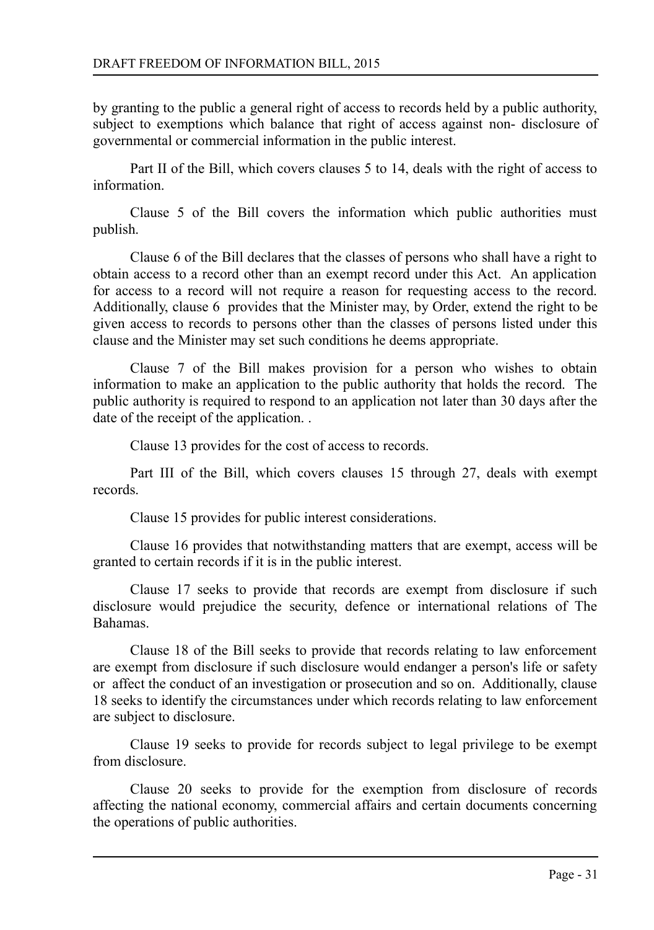by granting to the public a general right of access to records held by a public authority, subject to exemptions which balance that right of access against non- disclosure of governmental or commercial information in the public interest.

Part II of the Bill, which covers clauses 5 to 14, deals with the right of access to information.

Clause 5 of the Bill covers the information which public authorities must publish.

Clause 6 of the Bill declares that the classes of persons who shall have a right to obtain access to a record other than an exempt record under this Act. An application for access to a record will not require a reason for requesting access to the record. Additionally, clause 6 provides that the Minister may, by Order, extend the right to be given access to records to persons other than the classes of persons listed under this clause and the Minister may set such conditions he deems appropriate.

Clause 7 of the Bill makes provision for a person who wishes to obtain information to make an application to the public authority that holds the record. The public authority is required to respond to an application not later than 30 days after the date of the receipt of the application. .

Clause 13 provides for the cost of access to records.

Part III of the Bill, which covers clauses 15 through 27, deals with exempt records.

Clause 15 provides for public interest considerations.

Clause 16 provides that notwithstanding matters that are exempt, access will be granted to certain records if it is in the public interest.

Clause 17 seeks to provide that records are exempt from disclosure if such disclosure would prejudice the security, defence or international relations of The Bahamas.

Clause 18 of the Bill seeks to provide that records relating to law enforcement are exempt from disclosure if such disclosure would endanger a person's life or safety or affect the conduct of an investigation or prosecution and so on. Additionally, clause 18 seeks to identify the circumstances under which records relating to law enforcement are subject to disclosure.

Clause 19 seeks to provide for records subject to legal privilege to be exempt from disclosure.

Clause 20 seeks to provide for the exemption from disclosure of records affecting the national economy, commercial affairs and certain documents concerning the operations of public authorities.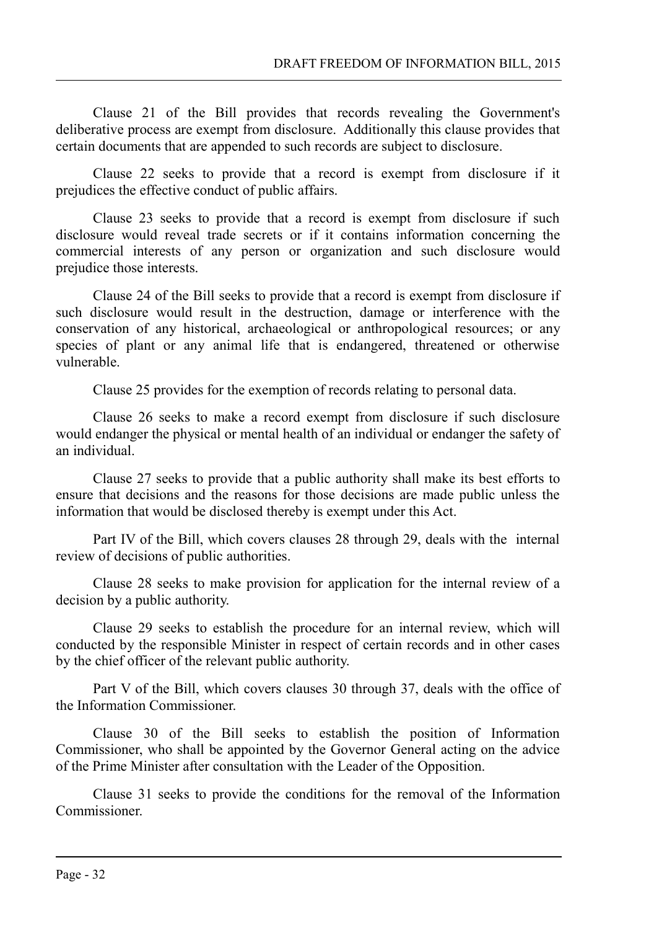Clause 21 of the Bill provides that records revealing the Government's deliberative process are exempt from disclosure. Additionally this clause provides that certain documents that are appended to such records are subject to disclosure.

Clause 22 seeks to provide that a record is exempt from disclosure if it prejudices the effective conduct of public affairs.

Clause 23 seeks to provide that a record is exempt from disclosure if such disclosure would reveal trade secrets or if it contains information concerning the commercial interests of any person or organization and such disclosure would prejudice those interests.

Clause 24 of the Bill seeks to provide that a record is exempt from disclosure if such disclosure would result in the destruction, damage or interference with the conservation of any historical, archaeological or anthropological resources; or any species of plant or any animal life that is endangered, threatened or otherwise vulnerable.

Clause 25 provides for the exemption of records relating to personal data.

Clause 26 seeks to make a record exempt from disclosure if such disclosure would endanger the physical or mental health of an individual or endanger the safety of an individual.

Clause 27 seeks to provide that a public authority shall make its best efforts to ensure that decisions and the reasons for those decisions are made public unless the information that would be disclosed thereby is exempt under this Act.

Part IV of the Bill, which covers clauses 28 through 29, deals with the internal review of decisions of public authorities.

Clause 28 seeks to make provision for application for the internal review of a decision by a public authority.

Clause 29 seeks to establish the procedure for an internal review, which will conducted by the responsible Minister in respect of certain records and in other cases by the chief officer of the relevant public authority.

Part V of the Bill, which covers clauses 30 through 37, deals with the office of the Information Commissioner.

Clause 30 of the Bill seeks to establish the position of Information Commissioner, who shall be appointed by the Governor General acting on the advice of the Prime Minister after consultation with the Leader of the Opposition.

Clause 31 seeks to provide the conditions for the removal of the Information Commissioner.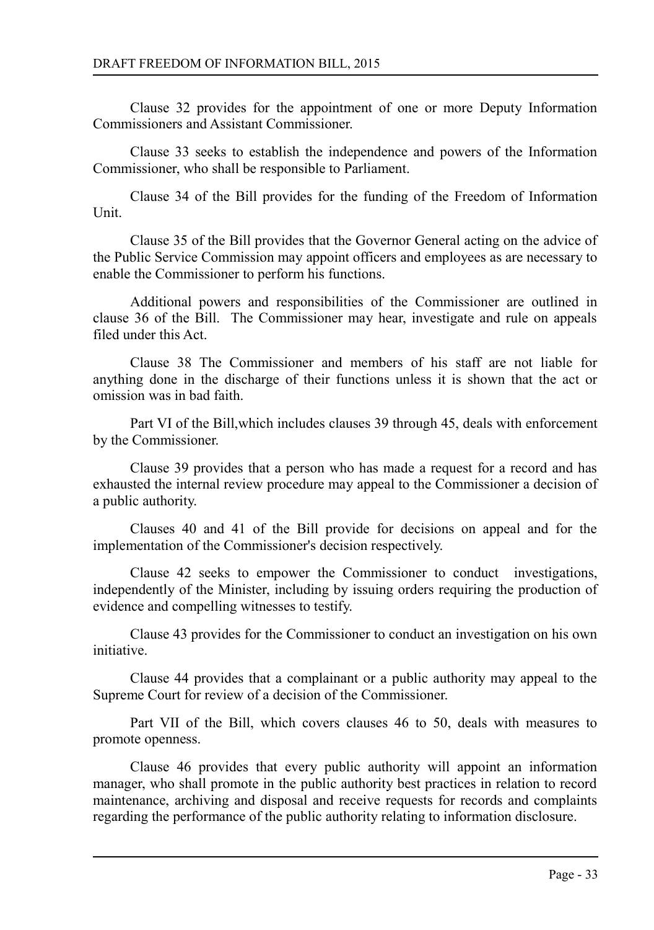Clause 32 provides for the appointment of one or more Deputy Information Commissioners and Assistant Commissioner.

Clause 33 seeks to establish the independence and powers of the Information Commissioner, who shall be responsible to Parliament.

Clause 34 of the Bill provides for the funding of the Freedom of Information Unit.

Clause 35 of the Bill provides that the Governor General acting on the advice of the Public Service Commission may appoint officers and employees as are necessary to enable the Commissioner to perform his functions.

Additional powers and responsibilities of the Commissioner are outlined in clause 36 of the Bill. The Commissioner may hear, investigate and rule on appeals filed under this Act.

Clause 38 The Commissioner and members of his staff are not liable for anything done in the discharge of their functions unless it is shown that the act or omission was in bad faith.

Part VI of the Bill,which includes clauses 39 through 45, deals with enforcement by the Commissioner.

Clause 39 provides that a person who has made a request for a record and has exhausted the internal review procedure may appeal to the Commissioner a decision of a public authority.

Clauses 40 and 41 of the Bill provide for decisions on appeal and for the implementation of the Commissioner's decision respectively.

Clause 42 seeks to empower the Commissioner to conduct investigations, independently of the Minister, including by issuing orders requiring the production of evidence and compelling witnesses to testify.

Clause 43 provides for the Commissioner to conduct an investigation on his own initiative.

Clause 44 provides that a complainant or a public authority may appeal to the Supreme Court for review of a decision of the Commissioner.

Part VII of the Bill, which covers clauses 46 to 50, deals with measures to promote openness.

Clause 46 provides that every public authority will appoint an information manager, who shall promote in the public authority best practices in relation to record maintenance, archiving and disposal and receive requests for records and complaints regarding the performance of the public authority relating to information disclosure.